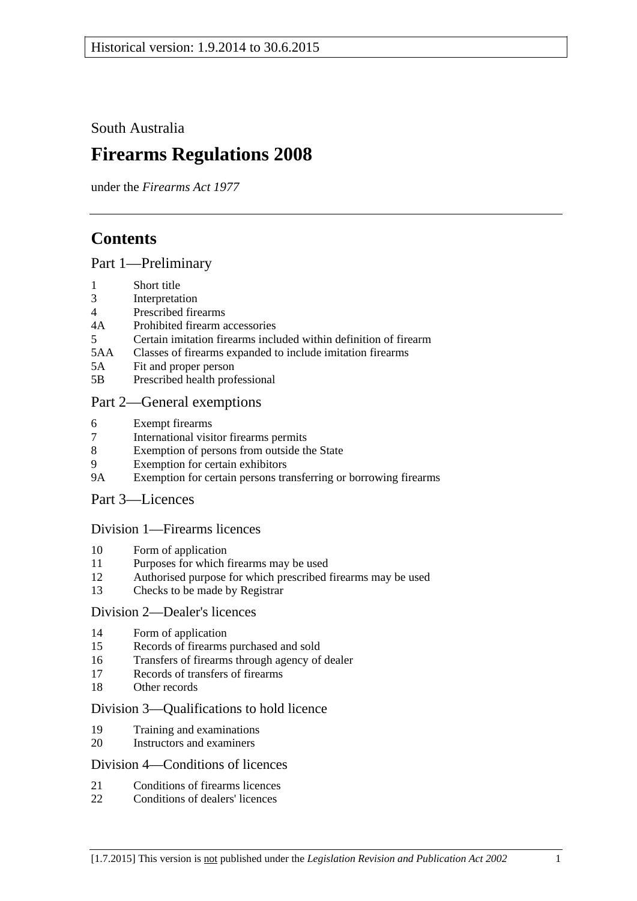South Australia

# **Firearms Regulations 2008**

under the *Firearms Act 1977*

## **Contents**

#### [Part 1—Preliminary](#page-2-0)

- 1 [Short title](#page-2-1)
- 3 [Interpretation](#page-2-2)
- 4 [Prescribed firearms](#page-3-0)
- 4A [Prohibited firearm accessories](#page-3-1)
- 5 [Certain imitation firearms included within definition of firearm](#page-4-0)
- 5AA [Classes of firearms expanded to include imitation firearms](#page-5-0)
- 5A [Fit and proper person](#page-5-1)
- 5B [Prescribed health professional](#page-6-0)

### [Part 2—General exemptions](#page-6-1)

- 6 [Exempt firearms](#page-6-2)
- 7 [International visitor firearms permits](#page-7-0)
- 8 [Exemption of persons from outside the State](#page-8-0)
- 9 [Exemption for certain exhibitors](#page-8-1)
- 9A [Exemption for certain persons transferring or borrowing firearms](#page-9-0)

#### [Part 3—Licences](#page-9-1)

#### [Division 1—Firearms licences](#page-9-2)

- 10 [Form of application](#page-9-3)
- 11 [Purposes for which firearms may be used](#page-9-4)
- 12 [Authorised purpose for which prescribed firearms may be used](#page-10-0)
- 13 [Checks to be made by Registrar](#page-10-1)

#### [Division 2—Dealer's licences](#page-10-2)

- 14 [Form of application](#page-10-3)
- 15 [Records of firearms](#page-10-4) purchased and sold
- 16 [Transfers of firearms through agency of dealer](#page-11-0)
- 17 [Records of transfers of firearms](#page-11-1)
- 18 [Other records](#page-12-0)

#### [Division 3—Qualifications to hold licence](#page-12-1)

- 19 [Training and examinations](#page-12-2)
- 20 [Instructors and examiners](#page-12-3)

#### [Division 4—Conditions of licences](#page-13-0)

- 21 [Conditions of firearms licences](#page-13-1)
- 22 [Conditions of dealers' licences](#page-16-0)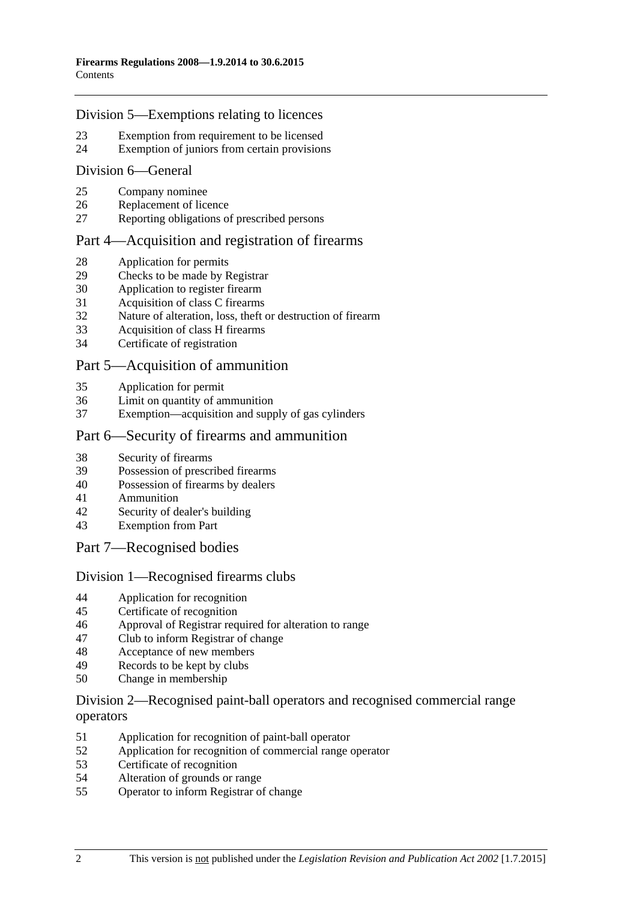#### [Division 5—Exemptions relating to licences](#page-17-0)

- [Exemption from requirement to be licensed](#page-17-1)
- [Exemption of juniors from certain provisions](#page-18-0)

#### [Division 6—General](#page-19-0)

- [Company nominee](#page-19-1)
- [Replacement of licence](#page-19-2)
- [Reporting obligations of prescribed persons](#page-19-3)

#### [Part 4—Acquisition and registration of firearms](#page-20-0)

- [Application for permits](#page-20-1)
- [Checks to be made by Registrar](#page-20-2)
- [Application to register](#page-20-3) firearm
- [Acquisition of class C firearms](#page-20-4)
- [Nature of alteration, loss, theft or destruction of firearm](#page-21-0)
- [Acquisition of class H firearms](#page-21-1)
- [Certificate of registration](#page-21-2)

#### [Part 5—Acquisition of ammunition](#page-22-0)

- [Application for permit](#page-22-1)
- [Limit on quantity of ammunition](#page-22-2)<br>37 Exemption—acquisition and supply
- [Exemption—acquisition and supply of gas cylinders](#page-22-3)

#### [Part 6—Security of firearms and ammunition](#page-22-4)

- [Security of firearms](#page-22-5)
- [Possession of prescribed firearms](#page-23-0)
- [Possession of firearms by dealers](#page-23-1)
- [Ammunition](#page-23-2)
- [Security of dealer's building](#page-23-3)
- [Exemption from Part](#page-23-4)
- [Part 7—Recognised bodies](#page-24-0)

#### [Division 1—Recognised firearms clubs](#page-24-1)

- [Application for recognition](#page-24-2)
- [Certificate of recognition](#page-24-3)
- [Approval of Registrar required for alteration to range](#page-24-4)<br>47 Club to inform Registrar of change
- [Club to inform Registrar of change](#page-25-0)
- [Acceptance of new members](#page-25-1)
- [Records to be kept by clubs](#page-25-2)
- [Change in membership](#page-26-0)

#### [Division 2—Recognised paint-ball operators and recognised commercial range](#page-26-1)  [operators](#page-26-1)

- [Application for recognition of paint-ball operator](#page-26-2)
- [Application for recognition of commercial range operator](#page-26-3)
- [Certificate of recognition](#page-27-0)
- [Alteration of grounds or range](#page-27-1)
- [Operator to inform Registrar of change](#page-27-2)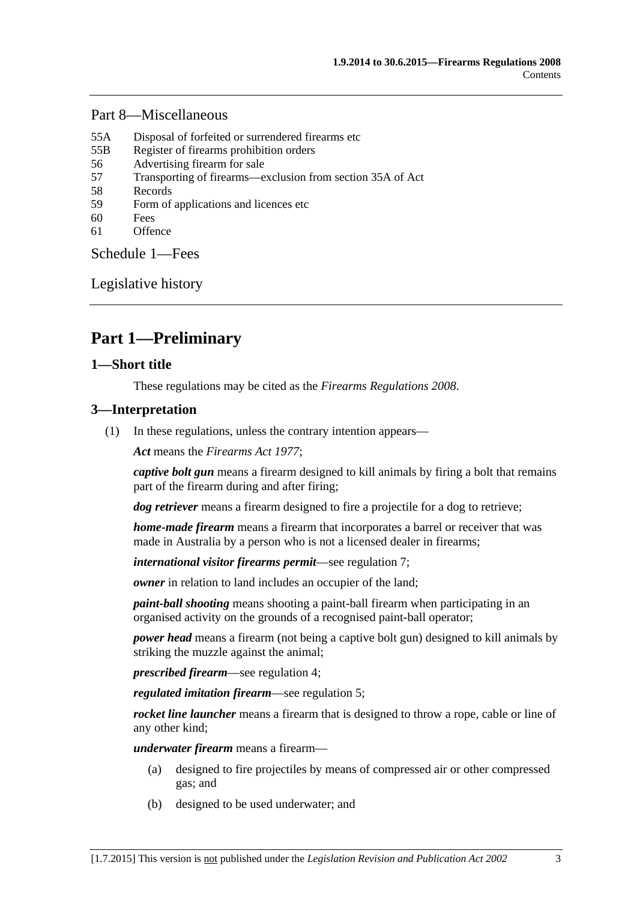#### [Part 8—Miscellaneous](#page-28-0)

- 55A [Disposal of forfeited or surrendered firearms etc](#page-28-1)
- 55B [Register of firearms prohibition orders](#page-28-2)
- 56 [Advertising firearm for sale](#page-28-3)
- 57 [Transporting of firearms—exclusion from section 35A of Act](#page-29-0)
- 58 [Records](#page-29-1)
- 59 [Form of applications and licences etc](#page-29-2)
- 60 [Fees](#page-29-3)
- 61 [Offence](#page-29-4)

[Schedule](#page-29-5) 1—Fees

[Legislative history](#page-31-0)

## <span id="page-2-0"></span>**Part 1—Preliminary**

#### <span id="page-2-1"></span>**1—Short title**

These regulations may be cited as the *Firearms Regulations 2008*.

#### <span id="page-2-2"></span>**3—Interpretation**

(1) In these regulations, unless the contrary intention appears—

*Act* means the *[Firearms Act](http://www.legislation.sa.gov.au/index.aspx?action=legref&type=act&legtitle=Firearms%20Act%201977) 1977*;

*captive bolt gun* means a firearm designed to kill animals by firing a bolt that remains part of the firearm during and after firing;

*dog retriever* means a firearm designed to fire a projectile for a dog to retrieve;

*home-made firearm* means a firearm that incorporates a barrel or receiver that was made in Australia by a person who is not a licensed dealer in firearms;

*international visitor firearms permit*—see [regulation](#page-7-0) 7;

*owner* in relation to land includes an occupier of the land:

*paint-ball shooting* means shooting a paint-ball firearm when participating in an organised activity on the grounds of a recognised paint-ball operator;

*power head* means a firearm (not being a captive bolt gun) designed to kill animals by striking the muzzle against the animal;

*prescribed firearm*—see [regulation](#page-3-0) 4;

*regulated imitation firearm*—see regulation 5;

*rocket line launcher* means a firearm that is designed to throw a rope, cable or line of any other kind;

*underwater firearm* means a firearm—

- (a) designed to fire projectiles by means of compressed air or other compressed gas; and
- (b) designed to be used underwater; and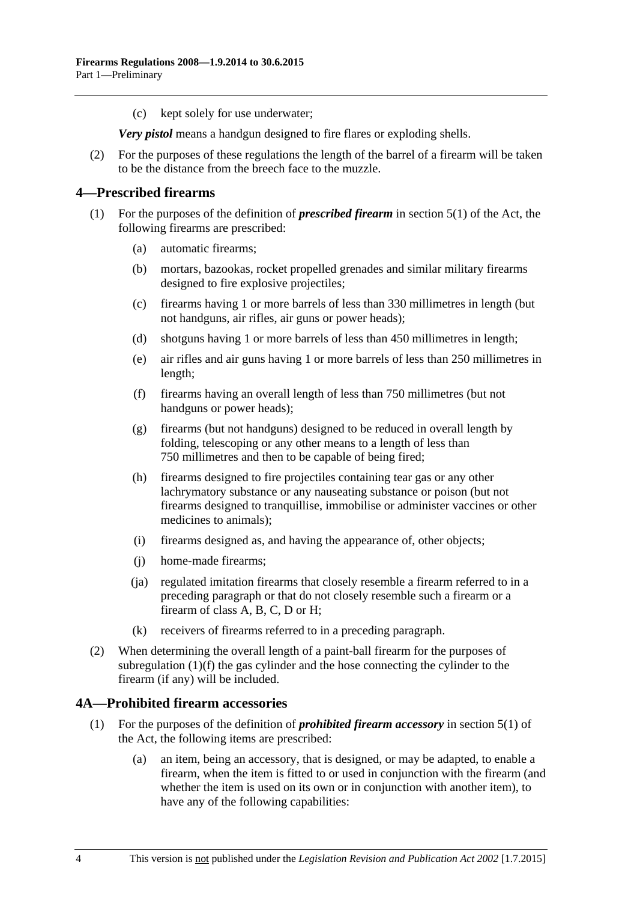(c) kept solely for use underwater;

*Very pistol* means a handgun designed to fire flares or exploding shells.

(2) For the purposes of these regulations the length of the barrel of a firearm will be taken to be the distance from the breech face to the muzzle.

#### <span id="page-3-0"></span>**4—Prescribed firearms**

- <span id="page-3-2"></span>(1) For the purposes of the definition of *prescribed firearm* in section 5(1) of the Act, the following firearms are prescribed:
	- (a) automatic firearms;
	- (b) mortars, bazookas, rocket propelled grenades and similar military firearms designed to fire explosive projectiles;
	- (c) firearms having 1 or more barrels of less than 330 millimetres in length (but not handguns, air rifles, air guns or power heads);
	- (d) shotguns having 1 or more barrels of less than 450 millimetres in length;
	- (e) air rifles and air guns having 1 or more barrels of less than 250 millimetres in length;
	- (f) firearms having an overall length of less than 750 millimetres (but not handguns or power heads);
	- (g) firearms (but not handguns) designed to be reduced in overall length by folding, telescoping or any other means to a length of less than 750 millimetres and then to be capable of being fired;
	- (h) firearms designed to fire projectiles containing tear gas or any other lachrymatory substance or any nauseating substance or poison (but not firearms designed to tranquillise, immobilise or administer vaccines or other medicines to animals);
	- (i) firearms designed as, and having the appearance of, other objects;
	- (j) home-made firearms;
	- (ja) regulated imitation firearms that closely resemble a firearm referred to in a preceding paragraph or that do not closely resemble such a firearm or a firearm of class A, B, C, D or H;
	- (k) receivers of firearms referred to in a preceding paragraph.
- (2) When determining the overall length of a paint-ball firearm for the purposes of [subregulation](#page-3-2) (1)(f) the gas cylinder and the hose connecting the cylinder to the firearm (if any) will be included.

#### <span id="page-3-1"></span>**4A—Prohibited firearm accessories**

- (1) For the purposes of the definition of *prohibited firearm accessory* in section 5(1) of the Act, the following items are prescribed:
	- (a) an item, being an accessory, that is designed, or may be adapted, to enable a firearm, when the item is fitted to or used in conjunction with the firearm (and whether the item is used on its own or in conjunction with another item), to have any of the following capabilities: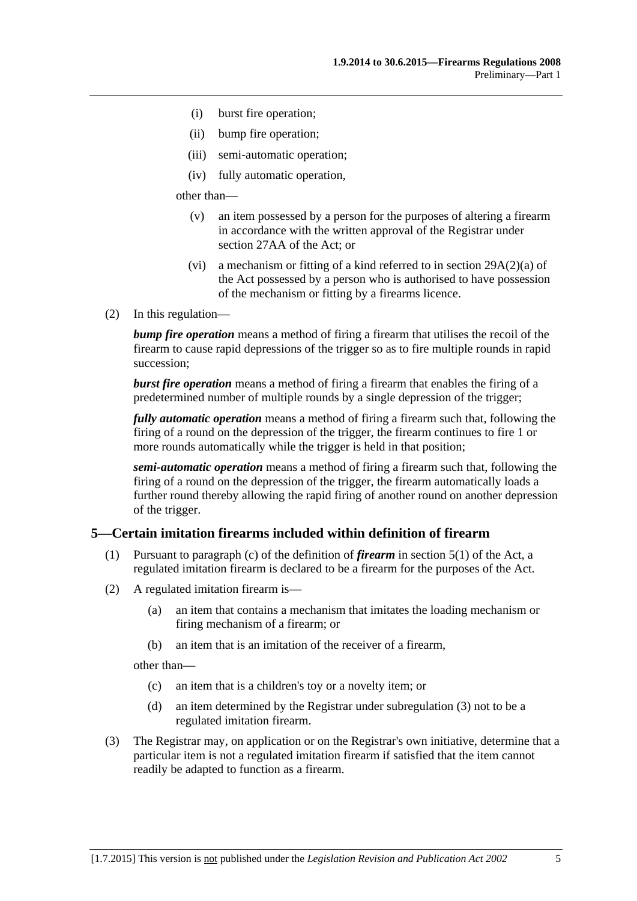- (i) burst fire operation;
- (ii) bump fire operation;
- (iii) semi-automatic operation;
- (iv) fully automatic operation,

other than—

- (v) an item possessed by a person for the purposes of altering a firearm in accordance with the written approval of the Registrar under section 27AA of the Act; or
- (vi) a mechanism or fitting of a kind referred to in section 29A(2)(a) of the Act possessed by a person who is authorised to have possession of the mechanism or fitting by a firearms licence.
- (2) In this regulation—

*bump fire operation* means a method of firing a firearm that utilises the recoil of the firearm to cause rapid depressions of the trigger so as to fire multiple rounds in rapid succession;

*burst fire operation* means a method of firing a firearm that enables the firing of a predetermined number of multiple rounds by a single depression of the trigger;

*fully automatic operation* means a method of firing a firearm such that, following the firing of a round on the depression of the trigger, the firearm continues to fire 1 or more rounds automatically while the trigger is held in that position;

*semi-automatic operation* means a method of firing a firearm such that, following the firing of a round on the depression of the trigger, the firearm automatically loads a further round thereby allowing the rapid firing of another round on another depression of the trigger.

#### <span id="page-4-0"></span>**5—Certain imitation firearms included within definition of firearm**

- (1) Pursuant to paragraph (c) of the definition of *firearm* in section 5(1) of the Act, a regulated imitation firearm is declared to be a firearm for the purposes of the Act.
- <span id="page-4-2"></span>(2) A regulated imitation firearm is—
	- (a) an item that contains a mechanism that imitates the loading mechanism or firing mechanism of a firearm; or
	- (b) an item that is an imitation of the receiver of a firearm,

other than—

- (c) an item that is a children's toy or a novelty item; or
- (d) an item determined by the Registrar under [subregulation](#page-4-1) (3) not to be a regulated imitation firearm.
- <span id="page-4-1"></span>(3) The Registrar may, on application or on the Registrar's own initiative, determine that a particular item is not a regulated imitation firearm if satisfied that the item cannot readily be adapted to function as a firearm.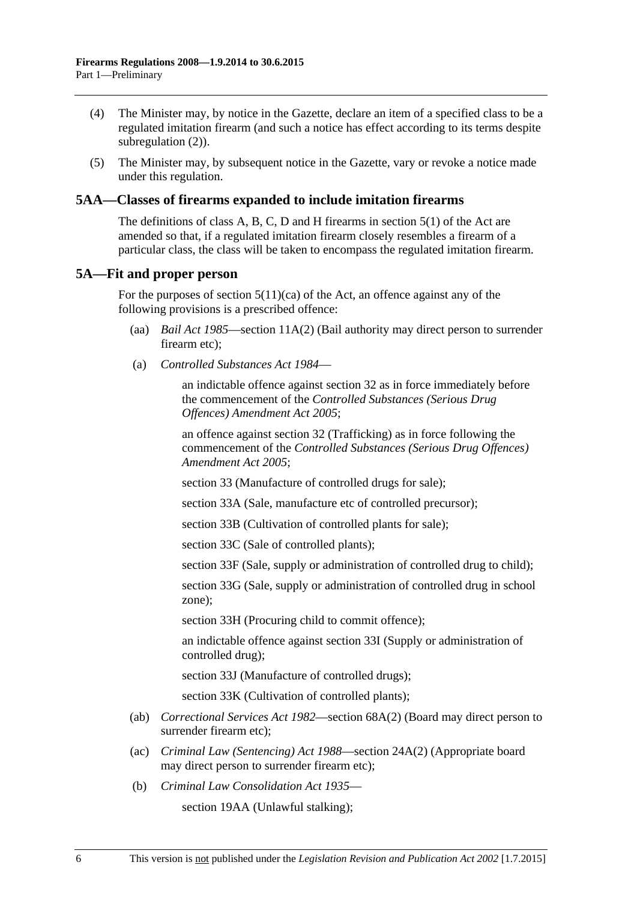- (4) The Minister may, by notice in the Gazette, declare an item of a specified class to be a regulated imitation firearm (and such a notice has effect according to its terms despite [subregulation](#page-4-2)  $(2)$ ).
- (5) The Minister may, by subsequent notice in the Gazette, vary or revoke a notice made under this regulation.

#### <span id="page-5-0"></span>**5AA—Classes of firearms expanded to include imitation firearms**

The definitions of class A, B, C, D and H firearms in section 5(1) of the Act are amended so that, if a regulated imitation firearm closely resembles a firearm of a particular class, the class will be taken to encompass the regulated imitation firearm.

#### <span id="page-5-1"></span>**5A—Fit and proper person**

For the purposes of section  $5(11)(ca)$  of the Act, an offence against any of the following provisions is a prescribed offence:

- (aa) *[Bail Act](http://www.legislation.sa.gov.au/index.aspx?action=legref&type=act&legtitle=Bail%20Act%201985) 1985*—section 11A(2) (Bail authority may direct person to surrender firearm etc);
- (a) *[Controlled Substances Act](http://www.legislation.sa.gov.au/index.aspx?action=legref&type=act&legtitle=Controlled%20Substances%20Act%201984) 1984*—

an indictable offence against section 32 as in force immediately before the commencement of the *[Controlled Substances \(Serious Drug](http://www.legislation.sa.gov.au/index.aspx?action=legref&type=act&legtitle=Controlled%20Substances%20(Serious%20Drug%20Offences)%20Amendment%20Act%202005)  [Offences\) Amendment Act](http://www.legislation.sa.gov.au/index.aspx?action=legref&type=act&legtitle=Controlled%20Substances%20(Serious%20Drug%20Offences)%20Amendment%20Act%202005) 2005*;

an offence against section 32 (Trafficking) as in force following the commencement of the *[Controlled Substances \(Serious Drug Offences\)](http://www.legislation.sa.gov.au/index.aspx?action=legref&type=act&legtitle=Controlled%20Substances%20(Serious%20Drug%20Offences)%20Amendment%20Act%202005)  [Amendment Act](http://www.legislation.sa.gov.au/index.aspx?action=legref&type=act&legtitle=Controlled%20Substances%20(Serious%20Drug%20Offences)%20Amendment%20Act%202005) 2005*;

section 33 (Manufacture of controlled drugs for sale);

section 33A (Sale, manufacture etc of controlled precursor);

section 33B (Cultivation of controlled plants for sale);

section 33C (Sale of controlled plants);

section 33F (Sale, supply or administration of controlled drug to child);

section 33G (Sale, supply or administration of controlled drug in school zone);

section 33H (Procuring child to commit offence);

an indictable offence against section 33I (Supply or administration of controlled drug);

section 33J (Manufacture of controlled drugs);

section 33K (Cultivation of controlled plants);

- (ab) *[Correctional Services Act](http://www.legislation.sa.gov.au/index.aspx?action=legref&type=act&legtitle=Correctional%20Services%20Act%201982) 1982*—section 68A(2) (Board may direct person to surrender firearm etc);
- (ac) *[Criminal Law \(Sentencing\) Act](http://www.legislation.sa.gov.au/index.aspx?action=legref&type=act&legtitle=Criminal%20Law%20(Sentencing)%20Act%201988) 1988*—section 24A(2) (Appropriate board may direct person to surrender firearm etc);
- (b) *[Criminal Law Consolidation Act](http://www.legislation.sa.gov.au/index.aspx?action=legref&type=act&legtitle=Criminal%20Law%20Consolidation%20Act%201935) 1935*—

section 19AA (Unlawful stalking);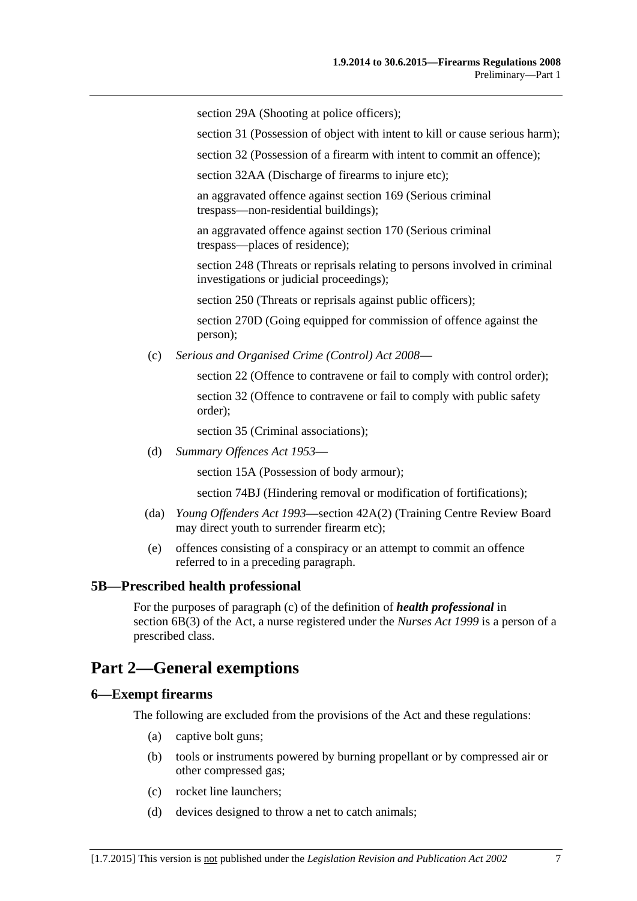section 29A (Shooting at police officers):

section 31 (Possession of object with intent to kill or cause serious harm);

section 32 (Possession of a firearm with intent to commit an offence);

section 32AA (Discharge of firearms to injure etc);

an aggravated offence against section 169 (Serious criminal trespass—non-residential buildings);

an aggravated offence against section 170 (Serious criminal trespass—places of residence);

section 248 (Threats or reprisals relating to persons involved in criminal investigations or judicial proceedings);

section 250 (Threats or reprisals against public officers);

section 270D (Going equipped for commission of offence against the person);

(c) *[Serious and Organised Crime \(Control\) Act](http://www.legislation.sa.gov.au/index.aspx?action=legref&type=act&legtitle=Serious%20and%20Organised%20Crime%20(Control)%20Act%202008) 2008*—

section 22 (Offence to contravene or fail to comply with control order); section 32 (Offence to contravene or fail to comply with public safety order);

section 35 (Criminal associations);

(d) *[Summary Offences Act](http://www.legislation.sa.gov.au/index.aspx?action=legref&type=act&legtitle=Summary%20Offences%20Act%201953) 1953*—

section 15A (Possession of body armour);

section 74BJ (Hindering removal or modification of fortifications);

- (da) *[Young Offenders Act](http://www.legislation.sa.gov.au/index.aspx?action=legref&type=act&legtitle=Young%20Offenders%20Act%201993) 1993*—section 42A(2) (Training Centre Review Board may direct youth to surrender firearm etc);
- (e) offences consisting of a conspiracy or an attempt to commit an offence referred to in a preceding paragraph.

#### <span id="page-6-0"></span>**5B—Prescribed health professional**

For the purposes of paragraph (c) of the definition of *health professional* in section 6B(3) of the Act, a nurse registered under the *[Nurses Act](http://www.legislation.sa.gov.au/index.aspx?action=legref&type=act&legtitle=Nurses%20Act%201999) 1999* is a person of a prescribed class.

## <span id="page-6-1"></span>**Part 2—General exemptions**

#### <span id="page-6-2"></span>**6—Exempt firearms**

The following are excluded from the provisions of the Act and these regulations:

- (a) captive bolt guns;
- (b) tools or instruments powered by burning propellant or by compressed air or other compressed gas;
- (c) rocket line launchers;
- (d) devices designed to throw a net to catch animals;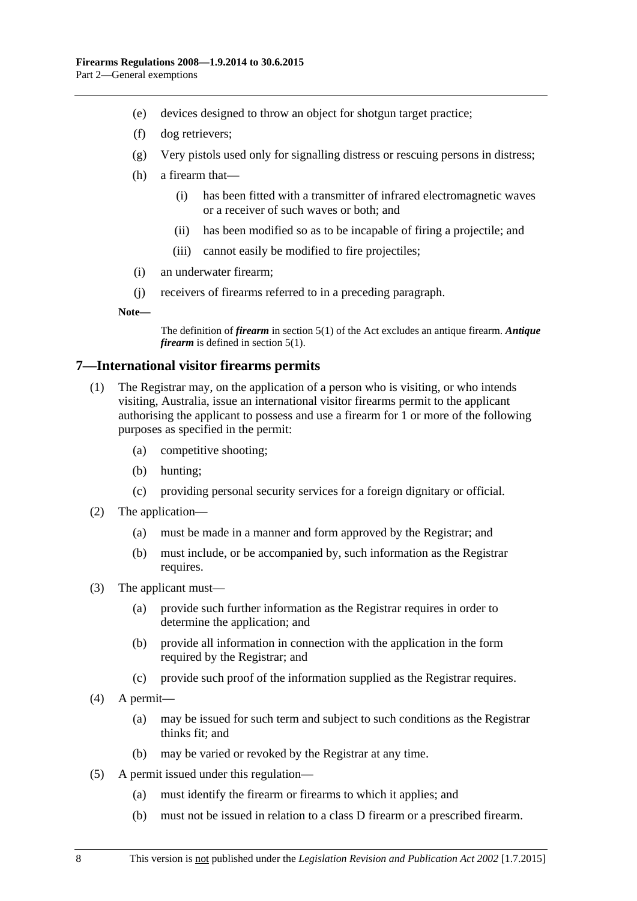- (e) devices designed to throw an object for shotgun target practice;
- (f) dog retrievers;
- (g) Very pistols used only for signalling distress or rescuing persons in distress;
- (h) a firearm that—
	- (i) has been fitted with a transmitter of infrared electromagnetic waves or a receiver of such waves or both; and
	- (ii) has been modified so as to be incapable of firing a projectile; and
	- (iii) cannot easily be modified to fire projectiles;
- (i) an underwater firearm;
- (j) receivers of firearms referred to in a preceding paragraph.

**Note—**

The definition of *firearm* in section 5(1) of the Act excludes an antique firearm. *Antique firearm* is defined in section 5(1).

#### <span id="page-7-0"></span>**7—International visitor firearms permits**

- (1) The Registrar may, on the application of a person who is visiting, or who intends visiting, Australia, issue an international visitor firearms permit to the applicant authorising the applicant to possess and use a firearm for 1 or more of the following purposes as specified in the permit:
	- (a) competitive shooting;
	- (b) hunting;
	- (c) providing personal security services for a foreign dignitary or official.
- (2) The application—
	- (a) must be made in a manner and form approved by the Registrar; and
	- (b) must include, or be accompanied by, such information as the Registrar requires.
- (3) The applicant must—
	- (a) provide such further information as the Registrar requires in order to determine the application; and
	- (b) provide all information in connection with the application in the form required by the Registrar; and
	- (c) provide such proof of the information supplied as the Registrar requires.
- (4) A permit—
	- (a) may be issued for such term and subject to such conditions as the Registrar thinks fit; and
	- (b) may be varied or revoked by the Registrar at any time.
- (5) A permit issued under this regulation—
	- (a) must identify the firearm or firearms to which it applies; and
	- (b) must not be issued in relation to a class D firearm or a prescribed firearm.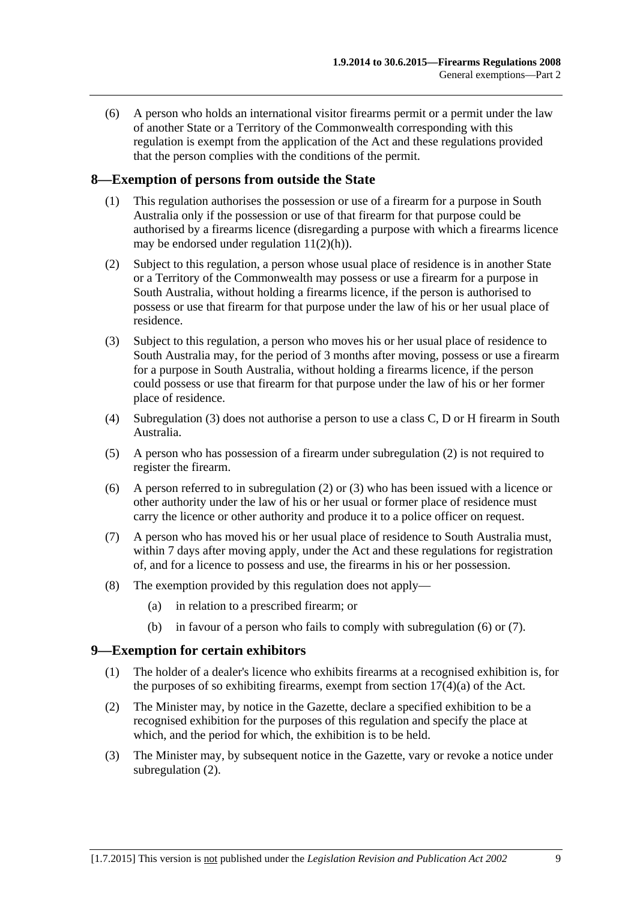(6) A person who holds an international visitor firearms permit or a permit under the law of another State or a Territory of the Commonwealth corresponding with this regulation is exempt from the application of the Act and these regulations provided that the person complies with the conditions of the permit.

#### <span id="page-8-0"></span>**8—Exemption of persons from outside the State**

- (1) This regulation authorises the possession or use of a firearm for a purpose in South Australia only if the possession or use of that firearm for that purpose could be authorised by a firearms licence (disregarding a purpose with which a firearms licence may be endorsed under [regulation](#page-10-5)  $11(2)(h)$ ).
- <span id="page-8-3"></span>(2) Subject to this regulation, a person whose usual place of residence is in another State or a Territory of the Commonwealth may possess or use a firearm for a purpose in South Australia, without holding a firearms licence, if the person is authorised to possess or use that firearm for that purpose under the law of his or her usual place of residence.
- <span id="page-8-2"></span>(3) Subject to this regulation, a person who moves his or her usual place of residence to South Australia may, for the period of 3 months after moving, possess or use a firearm for a purpose in South Australia, without holding a firearms licence, if the person could possess or use that firearm for that purpose under the law of his or her former place of residence.
- (4) [Subregulation \(3\)](#page-8-2) does not authorise a person to use a class C, D or H firearm in South Australia.
- (5) A person who has possession of a firearm under [subregulation](#page-8-3) (2) is not required to register the firearm.
- <span id="page-8-4"></span>(6) A person referred to in [subregulation](#page-8-3) (2) or [\(3\)](#page-8-2) who has been issued with a licence or other authority under the law of his or her usual or former place of residence must carry the licence or other authority and produce it to a police officer on request.
- <span id="page-8-5"></span>(7) A person who has moved his or her usual place of residence to South Australia must, within 7 days after moving apply, under the Act and these regulations for registration of, and for a licence to possess and use, the firearms in his or her possession.
- (8) The exemption provided by this regulation does not apply—
	- (a) in relation to a prescribed firearm; or
	- (b) in favour of a person who fails to comply with [subregulation](#page-8-4) (6) or [\(7\).](#page-8-5)

#### <span id="page-8-1"></span>**9—Exemption for certain exhibitors**

- (1) The holder of a dealer's licence who exhibits firearms at a recognised exhibition is, for the purposes of so exhibiting firearms, exempt from section  $17(4)(a)$  of the Act.
- <span id="page-8-6"></span>(2) The Minister may, by notice in the Gazette, declare a specified exhibition to be a recognised exhibition for the purposes of this regulation and specify the place at which, and the period for which, the exhibition is to be held.
- (3) The Minister may, by subsequent notice in the Gazette, vary or revoke a notice under [subregulation](#page-8-6) (2).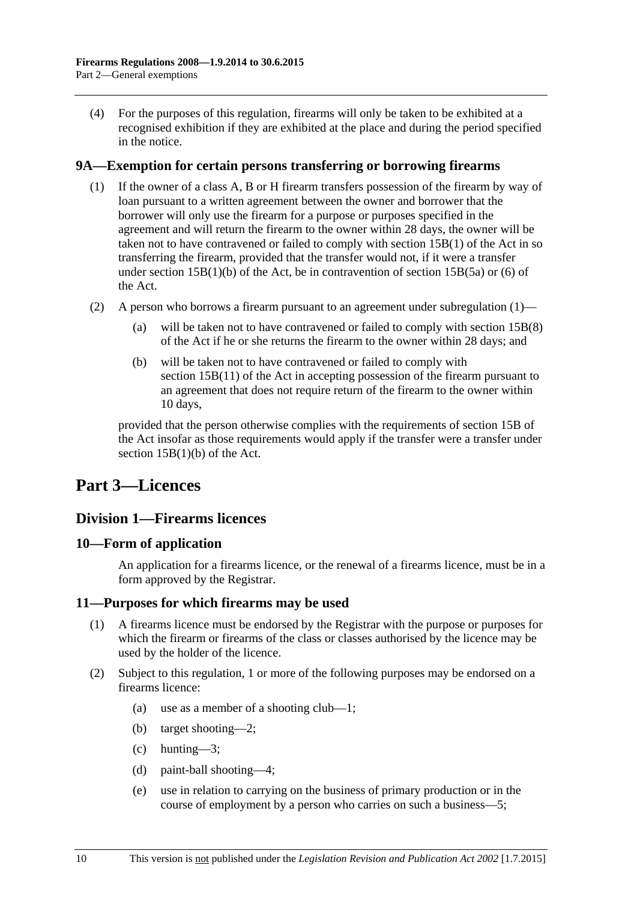(4) For the purposes of this regulation, firearms will only be taken to be exhibited at a recognised exhibition if they are exhibited at the place and during the period specified in the notice.

#### <span id="page-9-5"></span><span id="page-9-0"></span>**9A—Exemption for certain persons transferring or borrowing firearms**

- (1) If the owner of a class A, B or H firearm transfers possession of the firearm by way of loan pursuant to a written agreement between the owner and borrower that the borrower will only use the firearm for a purpose or purposes specified in the agreement and will return the firearm to the owner within 28 days, the owner will be taken not to have contravened or failed to comply with section 15B(1) of the Act in so transferring the firearm, provided that the transfer would not, if it were a transfer under section  $15B(1)(b)$  of the Act, be in contravention of section  $15B(5a)$  or (6) of the Act.
- (2) A person who borrows a firearm pursuant to an agreement under [subregulation](#page-9-5) (1)
	- will be taken not to have contravened or failed to comply with section  $15B(8)$ of the Act if he or she returns the firearm to the owner within 28 days; and
	- (b) will be taken not to have contravened or failed to comply with section 15B(11) of the Act in accepting possession of the firearm pursuant to an agreement that does not require return of the firearm to the owner within 10 days,

provided that the person otherwise complies with the requirements of section 15B of the Act insofar as those requirements would apply if the transfer were a transfer under section 15B(1)(b) of the Act.

## <span id="page-9-2"></span><span id="page-9-1"></span>**Part 3—Licences**

#### **Division 1—Firearms licences**

#### <span id="page-9-3"></span>**10—Form of application**

An application for a firearms licence, or the renewal of a firearms licence, must be in a form approved by the Registrar.

#### <span id="page-9-4"></span>**11—Purposes for which firearms may be used**

- (1) A firearms licence must be endorsed by the Registrar with the purpose or purposes for which the firearm or firearms of the class or classes authorised by the licence may be used by the holder of the licence.
- <span id="page-9-7"></span><span id="page-9-6"></span>(2) Subject to this regulation, 1 or more of the following purposes may be endorsed on a firearms licence:
	- (a) use as a member of a shooting club—1;
	- (b) target shooting—2;
	- (c) hunting—3;
	- (d) paint-ball shooting—4;
	- (e) use in relation to carrying on the business of primary production or in the course of employment by a person who carries on such a business—5;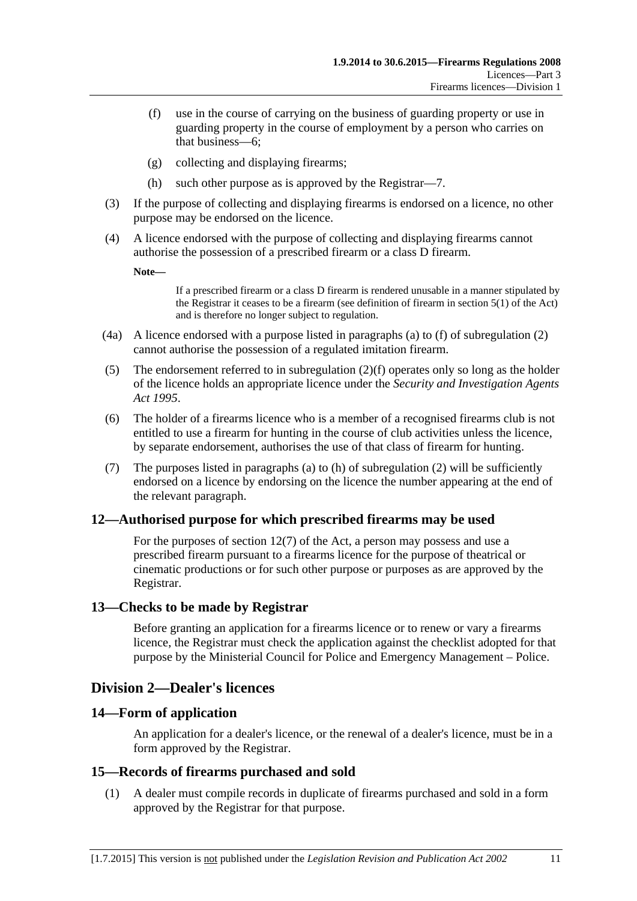- <span id="page-10-6"></span>(f) use in the course of carrying on the business of guarding property or use in guarding property in the course of employment by a person who carries on that business—6;
- (g) collecting and displaying firearms;
- (h) such other purpose as is approved by the Registrar—7.
- <span id="page-10-5"></span>(3) If the purpose of collecting and displaying firearms is endorsed on a licence, no other purpose may be endorsed on the licence.
- (4) A licence endorsed with the purpose of collecting and displaying firearms cannot authorise the possession of a prescribed firearm or a class D firearm.

**Note—**

If a prescribed firearm or a class D firearm is rendered unusable in a manner stipulated by the Registrar it ceases to be a firearm (see definition of firearm in section 5(1) of the Act) and is therefore no longer subject to regulation.

- (4a) A licence endorsed with a purpose listed in paragraphs [\(a\)](#page-9-6) to [\(f\)](#page-10-6) of [subregulation](#page-9-7) (2) cannot authorise the possession of a regulated imitation firearm.
- (5) The endorsement referred to in [subregulation](#page-10-6) (2)(f) operates only so long as the holder of the licence holds an appropriate licence under the *[Security and Investigation Agents](http://www.legislation.sa.gov.au/index.aspx?action=legref&type=act&legtitle=Security%20and%20Investigation%20Agents%20Act%201995)  Act [1995](http://www.legislation.sa.gov.au/index.aspx?action=legref&type=act&legtitle=Security%20and%20Investigation%20Agents%20Act%201995)*.
- (6) The holder of a firearms licence who is a member of a recognised firearms club is not entitled to use a firearm for hunting in the course of club activities unless the licence, by separate endorsement, authorises the use of that class of firearm for hunting.
- (7) The purposes listed in [paragraphs](#page-9-6) (a) to [\(h\)](#page-10-5) of [subregulation](#page-9-7) (2) will be sufficiently endorsed on a licence by endorsing on the licence the number appearing at the end of the relevant paragraph.

#### <span id="page-10-0"></span>**12—Authorised purpose for which prescribed firearms may be used**

For the purposes of section 12(7) of the Act, a person may possess and use a prescribed firearm pursuant to a firearms licence for the purpose of theatrical or cinematic productions or for such other purpose or purposes as are approved by the Registrar.

#### <span id="page-10-1"></span>**13—Checks to be made by Registrar**

Before granting an application for a firearms licence or to renew or vary a firearms licence, the Registrar must check the application against the checklist adopted for that purpose by the Ministerial Council for Police and Emergency Management – Police.

### <span id="page-10-2"></span>**Division 2—Dealer's licences**

#### <span id="page-10-3"></span>**14—Form of application**

An application for a dealer's licence, or the renewal of a dealer's licence, must be in a form approved by the Registrar.

#### <span id="page-10-4"></span>**15—Records of firearms purchased and sold**

(1) A dealer must compile records in duplicate of firearms purchased and sold in a form approved by the Registrar for that purpose.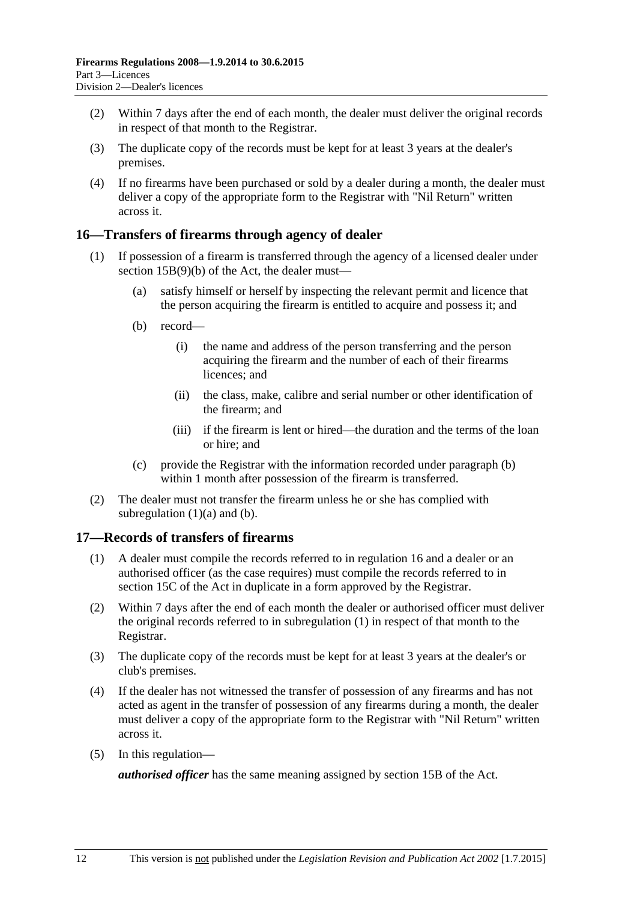- (2) Within 7 days after the end of each month, the dealer must deliver the original records in respect of that month to the Registrar.
- (3) The duplicate copy of the records must be kept for at least 3 years at the dealer's premises.
- (4) If no firearms have been purchased or sold by a dealer during a month, the dealer must deliver a copy of the appropriate form to the Registrar with "Nil Return" written across it.

#### <span id="page-11-0"></span>**16—Transfers of firearms through agency of dealer**

- <span id="page-11-3"></span><span id="page-11-2"></span>(1) If possession of a firearm is transferred through the agency of a licensed dealer under section 15B(9)(b) of the Act, the dealer must—
	- (a) satisfy himself or herself by inspecting the relevant permit and licence that the person acquiring the firearm is entitled to acquire and possess it; and
	- (b) record—
		- (i) the name and address of the person transferring and the person acquiring the firearm and the number of each of their firearms licences: and
		- (ii) the class, make, calibre and serial number or other identification of the firearm; and
		- (iii) if the firearm is lent or hired—the duration and the terms of the loan or hire; and
	- (c) provide the Registrar with the information recorded under [paragraph](#page-11-2) (b) within 1 month after possession of the firearm is transferred.
- (2) The dealer must not transfer the firearm unless he or she has complied with [subregulation](#page-11-3)  $(1)(a)$  and  $(b)$ .

#### <span id="page-11-4"></span><span id="page-11-1"></span>**17—Records of transfers of firearms**

- (1) A dealer must compile the records referred to in [regulation](#page-11-0) 16 and a dealer or an authorised officer (as the case requires) must compile the records referred to in section 15C of the Act in duplicate in a form approved by the Registrar.
- (2) Within 7 days after the end of each month the dealer or authorised officer must deliver the original records referred to in [subregulation](#page-11-4) (1) in respect of that month to the Registrar.
- (3) The duplicate copy of the records must be kept for at least 3 years at the dealer's or club's premises.
- (4) If the dealer has not witnessed the transfer of possession of any firearms and has not acted as agent in the transfer of possession of any firearms during a month, the dealer must deliver a copy of the appropriate form to the Registrar with "Nil Return" written across it.
- (5) In this regulation—

*authorised officer* has the same meaning assigned by section 15B of the Act.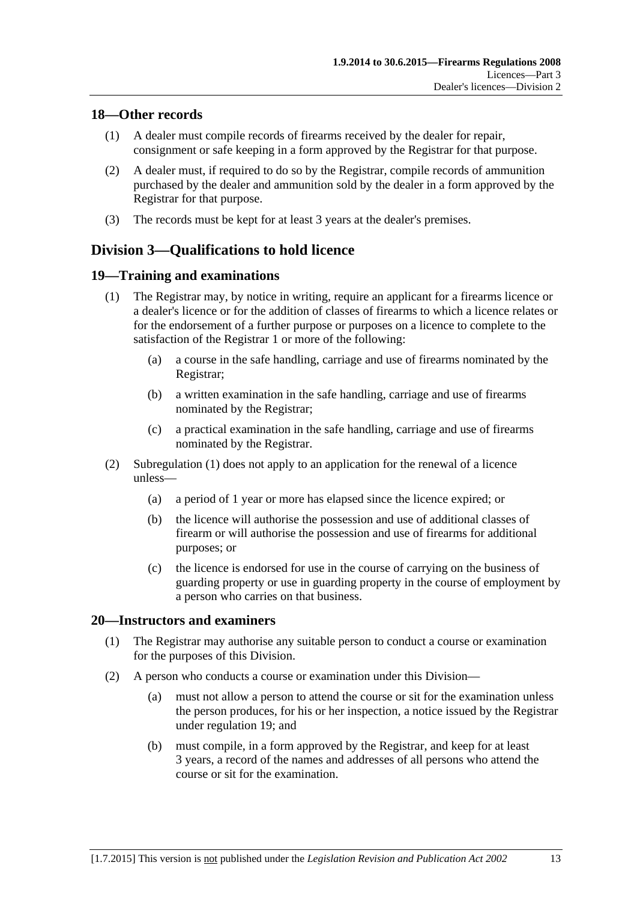#### <span id="page-12-0"></span>**18—Other records**

- (1) A dealer must compile records of firearms received by the dealer for repair, consignment or safe keeping in a form approved by the Registrar for that purpose.
- (2) A dealer must, if required to do so by the Registrar, compile records of ammunition purchased by the dealer and ammunition sold by the dealer in a form approved by the Registrar for that purpose.
- (3) The records must be kept for at least 3 years at the dealer's premises.

## <span id="page-12-1"></span>**Division 3—Qualifications to hold licence**

#### <span id="page-12-4"></span><span id="page-12-2"></span>**19—Training and examinations**

- (1) The Registrar may, by notice in writing, require an applicant for a firearms licence or a dealer's licence or for the addition of classes of firearms to which a licence relates or for the endorsement of a further purpose or purposes on a licence to complete to the satisfaction of the Registrar 1 or more of the following:
	- (a) a course in the safe handling, carriage and use of firearms nominated by the Registrar;
	- (b) a written examination in the safe handling, carriage and use of firearms nominated by the Registrar;
	- (c) a practical examination in the safe handling, carriage and use of firearms nominated by the Registrar.
- (2) [Subregulation](#page-12-4) (1) does not apply to an application for the renewal of a licence unless—
	- (a) a period of 1 year or more has elapsed since the licence expired; or
	- (b) the licence will authorise the possession and use of additional classes of firearm or will authorise the possession and use of firearms for additional purposes; or
	- (c) the licence is endorsed for use in the course of carrying on the business of guarding property or use in guarding property in the course of employment by a person who carries on that business.

#### <span id="page-12-5"></span><span id="page-12-3"></span>**20—Instructors and examiners**

- (1) The Registrar may authorise any suitable person to conduct a course or examination for the purposes of this Division.
- (2) A person who conducts a course or examination under this Division—
	- (a) must not allow a person to attend the course or sit for the examination unless the person produces, for his or her inspection, a notice issued by the Registrar under [regulation](#page-12-2) 19; and
	- (b) must compile, in a form approved by the Registrar, and keep for at least 3 years, a record of the names and addresses of all persons who attend the course or sit for the examination.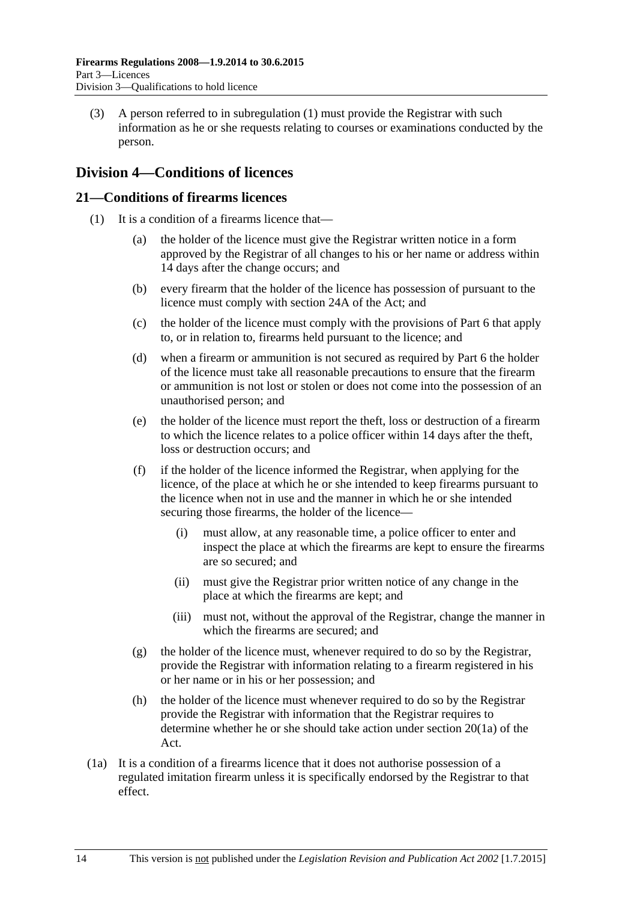(3) A person referred to in [subregulation](#page-12-5) (1) must provide the Registrar with such information as he or she requests relating to courses or examinations conducted by the person.

### <span id="page-13-0"></span>**Division 4—Conditions of licences**

#### <span id="page-13-2"></span><span id="page-13-1"></span>**21—Conditions of firearms licences**

- (1) It is a condition of a firearms licence that—
	- (a) the holder of the licence must give the Registrar written notice in a form approved by the Registrar of all changes to his or her name or address within 14 days after the change occurs; and
	- (b) every firearm that the holder of the licence has possession of pursuant to the licence must comply with section 24A of the Act; and
	- (c) the holder of the licence must comply with the provisions of [Part 6](#page-22-4) that apply to, or in relation to, firearms held pursuant to the licence; and
	- (d) when a firearm or ammunition is not secured as required by [Part 6](#page-22-4) the holder of the licence must take all reasonable precautions to ensure that the firearm or ammunition is not lost or stolen or does not come into the possession of an unauthorised person; and
	- (e) the holder of the licence must report the theft, loss or destruction of a firearm to which the licence relates to a police officer within 14 days after the theft, loss or destruction occurs; and
	- (f) if the holder of the licence informed the Registrar, when applying for the licence, of the place at which he or she intended to keep firearms pursuant to the licence when not in use and the manner in which he or she intended securing those firearms, the holder of the licence—
		- (i) must allow, at any reasonable time, a police officer to enter and inspect the place at which the firearms are kept to ensure the firearms are so secured; and
		- (ii) must give the Registrar prior written notice of any change in the place at which the firearms are kept; and
		- (iii) must not, without the approval of the Registrar, change the manner in which the firearms are secured; and
	- (g) the holder of the licence must, whenever required to do so by the Registrar, provide the Registrar with information relating to a firearm registered in his or her name or in his or her possession; and
	- (h) the holder of the licence must whenever required to do so by the Registrar provide the Registrar with information that the Registrar requires to determine whether he or she should take action under section 20(1a) of the Act.
- (1a) It is a condition of a firearms licence that it does not authorise possession of a regulated imitation firearm unless it is specifically endorsed by the Registrar to that effect.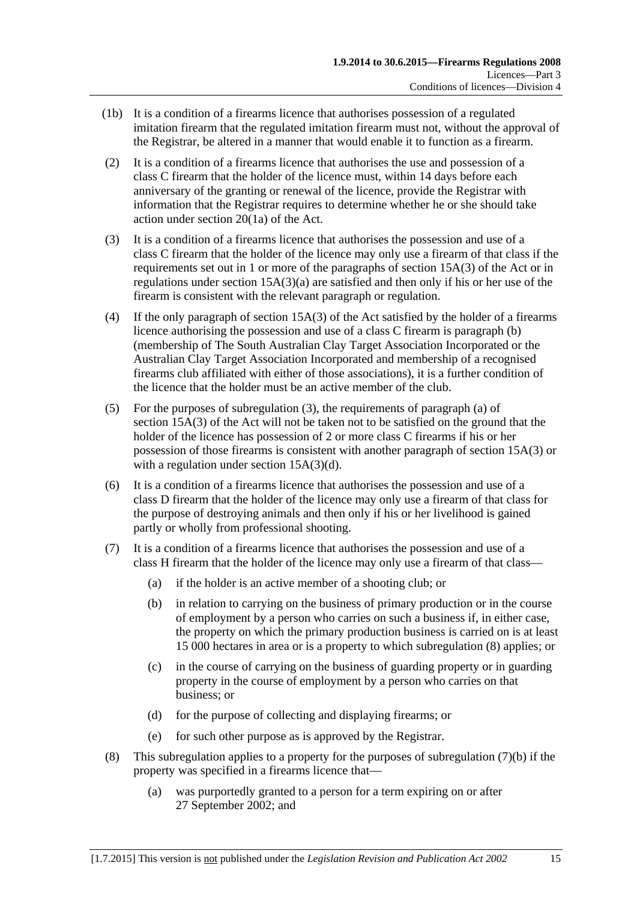- (1b) It is a condition of a firearms licence that authorises possession of a regulated imitation firearm that the regulated imitation firearm must not, without the approval of the Registrar, be altered in a manner that would enable it to function as a firearm.
- (2) It is a condition of a firearms licence that authorises the use and possession of a class C firearm that the holder of the licence must, within 14 days before each anniversary of the granting or renewal of the licence, provide the Registrar with information that the Registrar requires to determine whether he or she should take action under section 20(1a) of the Act.
- <span id="page-14-0"></span>(3) It is a condition of a firearms licence that authorises the possession and use of a class C firearm that the holder of the licence may only use a firearm of that class if the requirements set out in 1 or more of the paragraphs of section 15A(3) of the Act or in regulations under section  $15A(3)(a)$  are satisfied and then only if his or her use of the firearm is consistent with the relevant paragraph or regulation.
- (4) If the only paragraph of section 15A(3) of the Act satisfied by the holder of a firearms licence authorising the possession and use of a class C firearm is paragraph (b) (membership of The South Australian Clay Target Association Incorporated or the Australian Clay Target Association Incorporated and membership of a recognised firearms club affiliated with either of those associations), it is a further condition of the licence that the holder must be an active member of the club.
- (5) For the purposes of [subregulation](#page-14-0) (3), the requirements of paragraph (a) of section 15A(3) of the Act will not be taken not to be satisfied on the ground that the holder of the licence has possession of 2 or more class C firearms if his or her possession of those firearms is consistent with another paragraph of section 15A(3) or with a regulation under section 15A(3)(d).
- <span id="page-14-3"></span>(6) It is a condition of a firearms licence that authorises the possession and use of a class D firearm that the holder of the licence may only use a firearm of that class for the purpose of destroying animals and then only if his or her livelihood is gained partly or wholly from professional shooting.
- <span id="page-14-2"></span>(7) It is a condition of a firearms licence that authorises the possession and use of a class H firearm that the holder of the licence may only use a firearm of that class—
	- (a) if the holder is an active member of a shooting club; or
	- (b) in relation to carrying on the business of primary production or in the course of employment by a person who carries on such a business if, in either case, the property on which the primary production business is carried on is at least 15 000 hectares in area or is a property to which [subregulation](#page-14-1) (8) applies; or
	- (c) in the course of carrying on the business of guarding property or in guarding property in the course of employment by a person who carries on that business; or
	- (d) for the purpose of collecting and displaying firearms; or
	- (e) for such other purpose as is approved by the Registrar.
- <span id="page-14-1"></span>(8) This [subregulation](#page-14-2) applies to a property for the purposes of subregulation  $(7)(b)$  if the property was specified in a firearms licence that—
	- (a) was purportedly granted to a person for a term expiring on or after 27 September 2002; and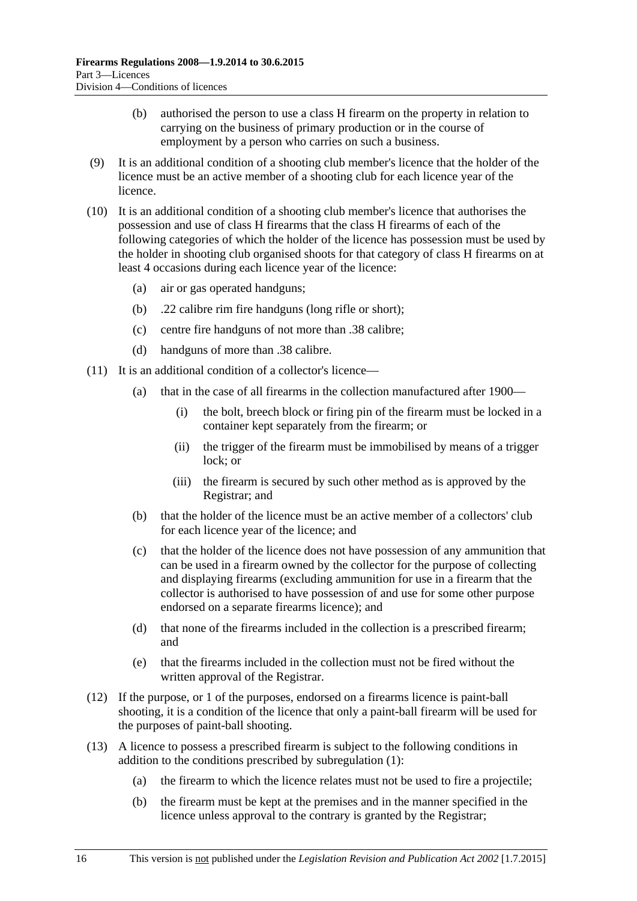- (b) authorised the person to use a class H firearm on the property in relation to carrying on the business of primary production or in the course of employment by a person who carries on such a business.
- (9) It is an additional condition of a shooting club member's licence that the holder of the licence must be an active member of a shooting club for each licence year of the licence.
- (10) It is an additional condition of a shooting club member's licence that authorises the possession and use of class H firearms that the class H firearms of each of the following categories of which the holder of the licence has possession must be used by the holder in shooting club organised shoots for that category of class H firearms on at least 4 occasions during each licence year of the licence:
	- (a) air or gas operated handguns;
	- (b) .22 calibre rim fire handguns (long rifle or short);
	- (c) centre fire handguns of not more than .38 calibre;
	- (d) handguns of more than .38 calibre.
- (11) It is an additional condition of a collector's licence—
	- (a) that in the case of all firearms in the collection manufactured after 1900—
		- (i) the bolt, breech block or firing pin of the firearm must be locked in a container kept separately from the firearm; or
		- (ii) the trigger of the firearm must be immobilised by means of a trigger lock; or
		- (iii) the firearm is secured by such other method as is approved by the Registrar; and
	- (b) that the holder of the licence must be an active member of a collectors' club for each licence year of the licence; and
	- (c) that the holder of the licence does not have possession of any ammunition that can be used in a firearm owned by the collector for the purpose of collecting and displaying firearms (excluding ammunition for use in a firearm that the collector is authorised to have possession of and use for some other purpose endorsed on a separate firearms licence); and
	- (d) that none of the firearms included in the collection is a prescribed firearm; and
	- (e) that the firearms included in the collection must not be fired without the written approval of the Registrar.
- (12) If the purpose, or 1 of the purposes, endorsed on a firearms licence is paint-ball shooting, it is a condition of the licence that only a paint-ball firearm will be used for the purposes of paint-ball shooting.
- (13) A licence to possess a prescribed firearm is subject to the following conditions in addition to the conditions prescribed by [subregulation](#page-13-2) (1):
	- (a) the firearm to which the licence relates must not be used to fire a projectile;
	- (b) the firearm must be kept at the premises and in the manner specified in the licence unless approval to the contrary is granted by the Registrar;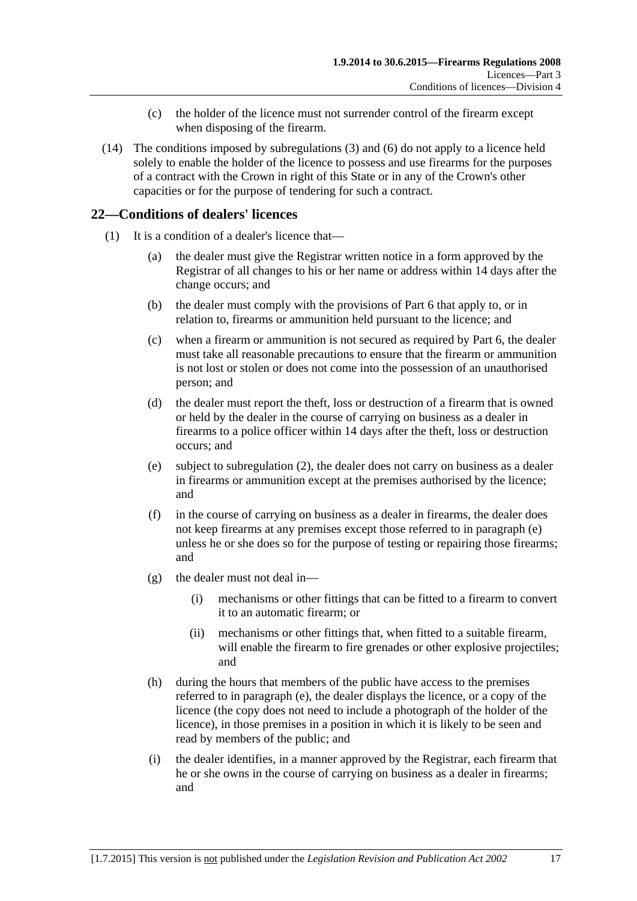- (c) the holder of the licence must not surrender control of the firearm except when disposing of the firearm.
- (14) The conditions imposed by [subregulations](#page-14-0) (3) and [\(6\)](#page-14-3) do not apply to a licence held solely to enable the holder of the licence to possess and use firearms for the purposes of a contract with the Crown in right of this State or in any of the Crown's other capacities or for the purpose of tendering for such a contract.

#### <span id="page-16-0"></span>**22—Conditions of dealers' licences**

- <span id="page-16-1"></span>(1) It is a condition of a dealer's licence that—
	- (a) the dealer must give the Registrar written notice in a form approved by the Registrar of all changes to his or her name or address within 14 days after the change occurs; and
	- (b) the dealer must comply with the provisions of [Part 6](#page-22-4) that apply to, or in relation to, firearms or ammunition held pursuant to the licence; and
	- (c) when a firearm or ammunition is not secured as required by [Part 6,](#page-22-4) the dealer must take all reasonable precautions to ensure that the firearm or ammunition is not lost or stolen or does not come into the possession of an unauthorised person; and
	- (d) the dealer must report the theft, loss or destruction of a firearm that is owned or held by the dealer in the course of carrying on business as a dealer in firearms to a police officer within 14 days after the theft, loss or destruction occurs; and
	- (e) subject to [subregulation](#page-17-2) (2), the dealer does not carry on business as a dealer in firearms or ammunition except at the premises authorised by the licence; and
	- (f) in the course of carrying on business as a dealer in firearms, the dealer does not keep firearms at any premises except those referred to in [paragraph](#page-16-1) (e) unless he or she does so for the purpose of testing or repairing those firearms; and
	- (g) the dealer must not deal in—
		- (i) mechanisms or other fittings that can be fitted to a firearm to convert it to an automatic firearm; or
		- (ii) mechanisms or other fittings that, when fitted to a suitable firearm, will enable the firearm to fire grenades or other explosive projectiles; and
	- (h) during the hours that members of the public have access to the premises referred to in [paragraph](#page-16-1) (e), the dealer displays the licence, or a copy of the licence (the copy does not need to include a photograph of the holder of the licence), in those premises in a position in which it is likely to be seen and read by members of the public; and
	- (i) the dealer identifies, in a manner approved by the Registrar, each firearm that he or she owns in the course of carrying on business as a dealer in firearms; and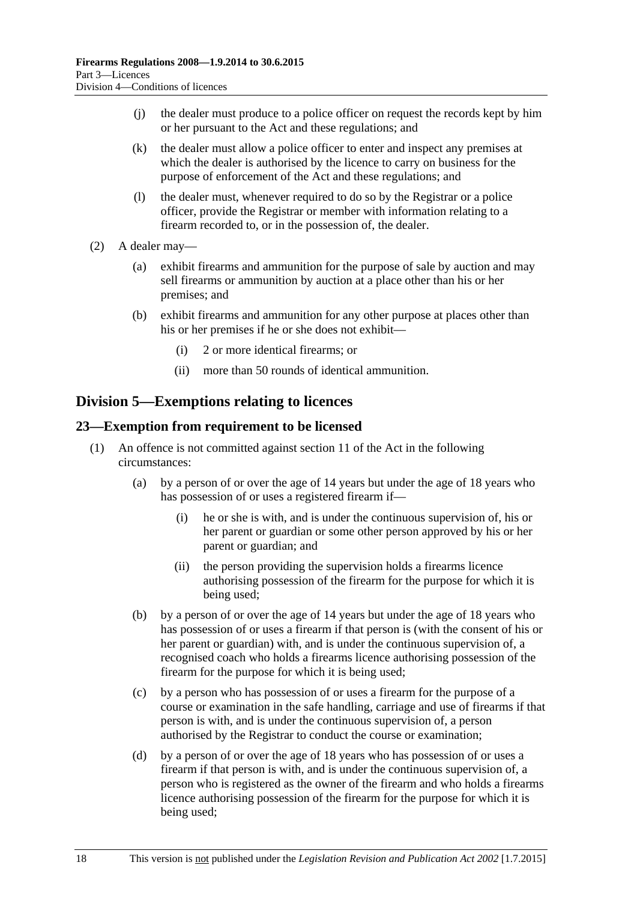- (j) the dealer must produce to a police officer on request the records kept by him or her pursuant to the Act and these regulations; and
- (k) the dealer must allow a police officer to enter and inspect any premises at which the dealer is authorised by the licence to carry on business for the purpose of enforcement of the Act and these regulations; and
- (l) the dealer must, whenever required to do so by the Registrar or a police officer, provide the Registrar or member with information relating to a firearm recorded to, or in the possession of, the dealer.
- <span id="page-17-2"></span>(2) A dealer may—
	- (a) exhibit firearms and ammunition for the purpose of sale by auction and may sell firearms or ammunition by auction at a place other than his or her premises; and
	- (b) exhibit firearms and ammunition for any other purpose at places other than his or her premises if he or she does not exhibit—
		- (i) 2 or more identical firearms; or
		- (ii) more than 50 rounds of identical ammunition.

### <span id="page-17-0"></span>**Division 5—Exemptions relating to licences**

#### <span id="page-17-1"></span>**23—Exemption from requirement to be licensed**

- <span id="page-17-5"></span><span id="page-17-4"></span><span id="page-17-3"></span>(1) An offence is not committed against section 11 of the Act in the following circumstances:
	- (a) by a person of or over the age of 14 years but under the age of 18 years who has possession of or uses a registered firearm if—
		- (i) he or she is with, and is under the continuous supervision of, his or her parent or guardian or some other person approved by his or her parent or guardian; and
		- (ii) the person providing the supervision holds a firearms licence authorising possession of the firearm for the purpose for which it is being used;
	- (b) by a person of or over the age of 14 years but under the age of 18 years who has possession of or uses a firearm if that person is (with the consent of his or her parent or guardian) with, and is under the continuous supervision of, a recognised coach who holds a firearms licence authorising possession of the firearm for the purpose for which it is being used;
	- (c) by a person who has possession of or uses a firearm for the purpose of a course or examination in the safe handling, carriage and use of firearms if that person is with, and is under the continuous supervision of, a person authorised by the Registrar to conduct the course or examination;
	- (d) by a person of or over the age of 18 years who has possession of or uses a firearm if that person is with, and is under the continuous supervision of, a person who is registered as the owner of the firearm and who holds a firearms licence authorising possession of the firearm for the purpose for which it is being used;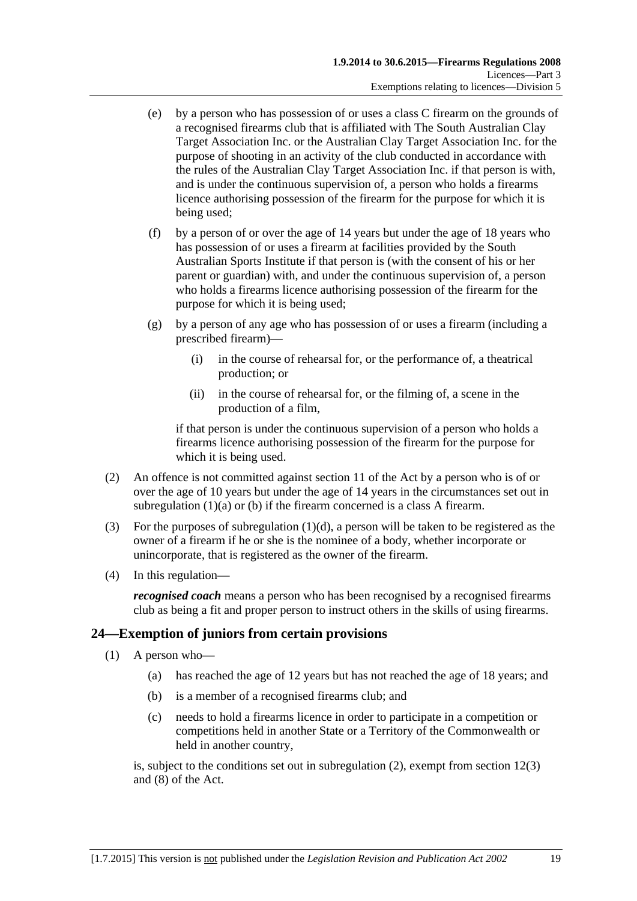- (e) by a person who has possession of or uses a class C firearm on the grounds of a recognised firearms club that is affiliated with The South Australian Clay Target Association Inc. or the Australian Clay Target Association Inc. for the purpose of shooting in an activity of the club conducted in accordance with the rules of the Australian Clay Target Association Inc. if that person is with, and is under the continuous supervision of, a person who holds a firearms licence authorising possession of the firearm for the purpose for which it is being used;
- (f) by a person of or over the age of 14 years but under the age of 18 years who has possession of or uses a firearm at facilities provided by the South Australian Sports Institute if that person is (with the consent of his or her parent or guardian) with, and under the continuous supervision of, a person who holds a firearms licence authorising possession of the firearm for the purpose for which it is being used;
- (g) by a person of any age who has possession of or uses a firearm (including a prescribed firearm)—
	- (i) in the course of rehearsal for, or the performance of, a theatrical production; or
	- (ii) in the course of rehearsal for, or the filming of, a scene in the production of a film,

if that person is under the continuous supervision of a person who holds a firearms licence authorising possession of the firearm for the purpose for which it is being used.

- (2) An offence is not committed against section 11 of the Act by a person who is of or over the age of 10 years but under the age of 14 years in the circumstances set out in [subregulation](#page-17-3) (1)(a) or [\(b\)](#page-17-4) if the firearm concerned is a class A firearm.
- (3) For the purposes of [subregulation](#page-17-5)  $(1)(d)$ , a person will be taken to be registered as the owner of a firearm if he or she is the nominee of a body, whether incorporate or unincorporate, that is registered as the owner of the firearm.
- (4) In this regulation—

*recognised coach* means a person who has been recognised by a recognised firearms club as being a fit and proper person to instruct others in the skills of using firearms.

### <span id="page-18-1"></span><span id="page-18-0"></span>**24—Exemption of juniors from certain provisions**

- (1) A person who—
	- (a) has reached the age of 12 years but has not reached the age of 18 years; and
	- (b) is a member of a recognised firearms club; and
	- (c) needs to hold a firearms licence in order to participate in a competition or competitions held in another State or a Territory of the Commonwealth or held in another country,

is, subject to the conditions set out in [subregulation](#page-19-4) (2), exempt from section 12(3) and (8) of the Act.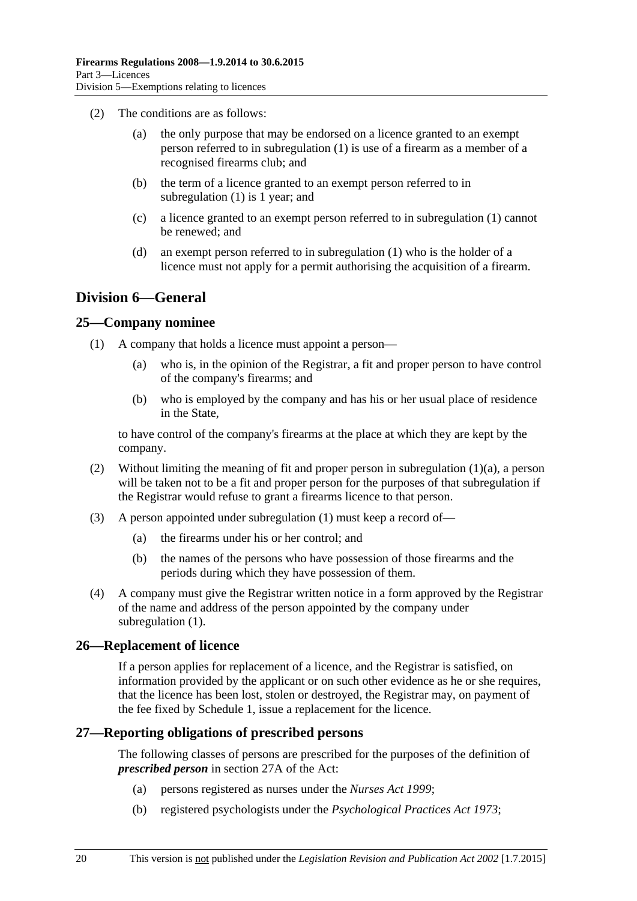- <span id="page-19-4"></span>(2) The conditions are as follows:
	- (a) the only purpose that may be endorsed on a licence granted to an exempt person referred to in [subregulation](#page-18-1) (1) is use of a firearm as a member of a recognised firearms club; and
	- (b) the term of a licence granted to an exempt person referred to in [subregulation](#page-18-1) (1) is 1 year; and
	- (c) a licence granted to an exempt person referred to in [subregulation](#page-18-1) (1) cannot be renewed; and
	- (d) an exempt person referred to in [subregulation](#page-18-1) (1) who is the holder of a licence must not apply for a permit authorising the acquisition of a firearm.

### <span id="page-19-0"></span>**Division 6—General**

#### <span id="page-19-6"></span><span id="page-19-1"></span>**25—Company nominee**

- <span id="page-19-5"></span>(1) A company that holds a licence must appoint a person—
	- (a) who is, in the opinion of the Registrar, a fit and proper person to have control of the company's firearms; and
	- (b) who is employed by the company and has his or her usual place of residence in the State,

to have control of the company's firearms at the place at which they are kept by the company.

- (2) Without limiting the meaning of fit and proper person in [subregulation](#page-19-5) (1)(a), a person will be taken not to be a fit and proper person for the purposes of that subregulation if the Registrar would refuse to grant a firearms licence to that person.
- (3) A person appointed under [subregulation](#page-19-6) (1) must keep a record of—
	- (a) the firearms under his or her control; and
	- (b) the names of the persons who have possession of those firearms and the periods during which they have possession of them.
- (4) A company must give the Registrar written notice in a form approved by the Registrar of the name and address of the person appointed by the company under [subregulation](#page-19-6) (1).

#### <span id="page-19-2"></span>**26—Replacement of licence**

If a person applies for replacement of a licence, and the Registrar is satisfied, on information provided by the applicant or on such other evidence as he or she requires, that the licence has been lost, stolen or destroyed, the Registrar may, on payment of the fee fixed by [Schedule](#page-29-5) 1, issue a replacement for the licence.

#### <span id="page-19-3"></span>**27—Reporting obligations of prescribed persons**

The following classes of persons are prescribed for the purposes of the definition of *prescribed person* in section 27A of the Act:

- (a) persons registered as nurses under the *[Nurses Act](http://www.legislation.sa.gov.au/index.aspx?action=legref&type=act&legtitle=Nurses%20Act%201999) 1999*;
- (b) registered psychologists under the *[Psychological Practices Act](http://www.legislation.sa.gov.au/index.aspx?action=legref&type=act&legtitle=Psychological%20Practices%20Act%201973) 1973*;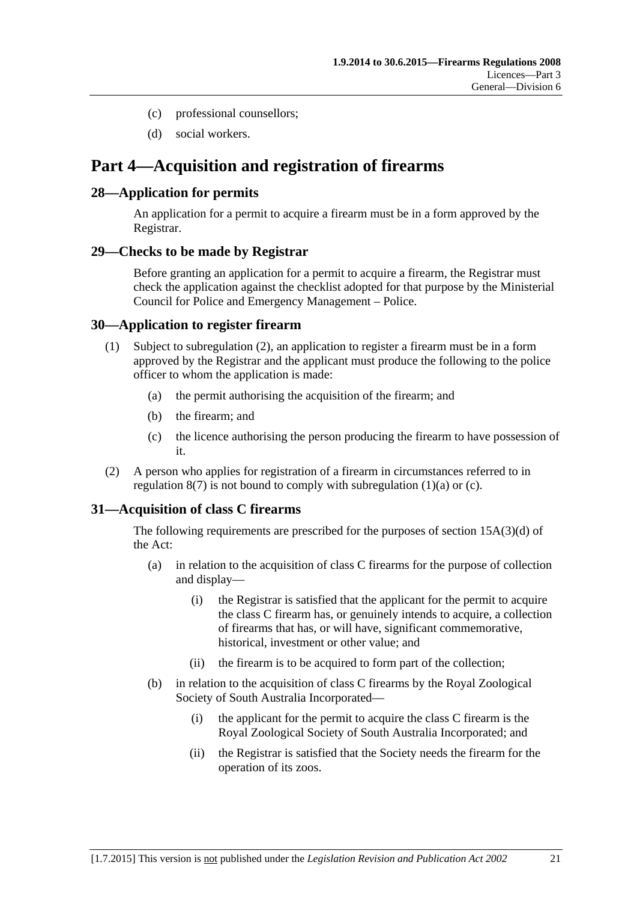- (c) professional counsellors;
- (d) social workers.

## <span id="page-20-0"></span>**Part 4—Acquisition and registration of firearms**

#### <span id="page-20-1"></span>**28—Application for permits**

An application for a permit to acquire a firearm must be in a form approved by the Registrar.

#### <span id="page-20-2"></span>**29—Checks to be made by Registrar**

Before granting an application for a permit to acquire a firearm, the Registrar must check the application against the checklist adopted for that purpose by the Ministerial Council for Police and Emergency Management – Police.

#### <span id="page-20-3"></span>**30—Application to register firearm**

- <span id="page-20-6"></span>(1) Subject to [subregulation](#page-20-5) (2), an application to register a firearm must be in a form approved by the Registrar and the applicant must produce the following to the police officer to whom the application is made:
	- (a) the permit authorising the acquisition of the firearm; and
	- (b) the firearm; and
	- (c) the licence authorising the person producing the firearm to have possession of it.
- <span id="page-20-7"></span><span id="page-20-5"></span>(2) A person who applies for registration of a firearm in circumstances referred to in [regulation](#page-8-5)  $8(7)$  is not bound to comply with [subregulation](#page-20-6)  $(1)(a)$  or  $(c)$ .

#### <span id="page-20-4"></span>**31—Acquisition of class C firearms**

The following requirements are prescribed for the purposes of section 15A(3)(d) of the Act:

- (a) in relation to the acquisition of class C firearms for the purpose of collection and display—
	- (i) the Registrar is satisfied that the applicant for the permit to acquire the class C firearm has, or genuinely intends to acquire, a collection of firearms that has, or will have, significant commemorative, historical, investment or other value; and
	- (ii) the firearm is to be acquired to form part of the collection;
- (b) in relation to the acquisition of class C firearms by the Royal Zoological Society of South Australia Incorporated—
	- (i) the applicant for the permit to acquire the class C firearm is the Royal Zoological Society of South Australia Incorporated; and
	- (ii) the Registrar is satisfied that the Society needs the firearm for the operation of its zoos.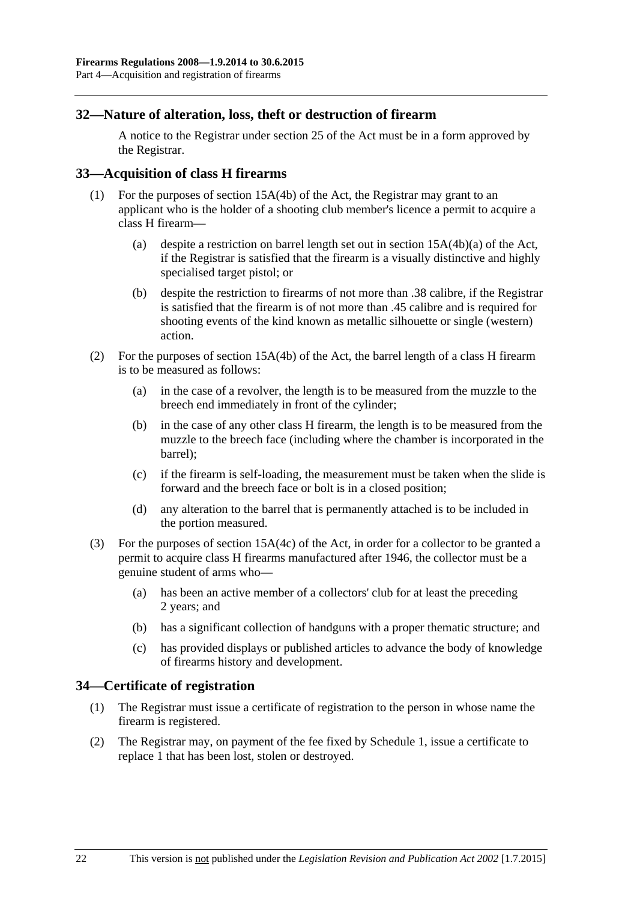#### <span id="page-21-0"></span>**32—Nature of alteration, loss, theft or destruction of firearm**

A notice to the Registrar under section 25 of the Act must be in a form approved by the Registrar.

#### <span id="page-21-1"></span>**33—Acquisition of class H firearms**

- (1) For the purposes of section 15A(4b) of the Act, the Registrar may grant to an applicant who is the holder of a shooting club member's licence a permit to acquire a class H firearm—
	- (a) despite a restriction on barrel length set out in section 15A(4b)(a) of the Act, if the Registrar is satisfied that the firearm is a visually distinctive and highly specialised target pistol; or
	- (b) despite the restriction to firearms of not more than .38 calibre, if the Registrar is satisfied that the firearm is of not more than .45 calibre and is required for shooting events of the kind known as metallic silhouette or single (western) action.
- (2) For the purposes of section 15A(4b) of the Act, the barrel length of a class H firearm is to be measured as follows:
	- (a) in the case of a revolver, the length is to be measured from the muzzle to the breech end immediately in front of the cylinder;
	- (b) in the case of any other class H firearm, the length is to be measured from the muzzle to the breech face (including where the chamber is incorporated in the barrel);
	- (c) if the firearm is self-loading, the measurement must be taken when the slide is forward and the breech face or bolt is in a closed position;
	- (d) any alteration to the barrel that is permanently attached is to be included in the portion measured.
- (3) For the purposes of section 15A(4c) of the Act, in order for a collector to be granted a permit to acquire class H firearms manufactured after 1946, the collector must be a genuine student of arms who—
	- (a) has been an active member of a collectors' club for at least the preceding 2 years; and
	- (b) has a significant collection of handguns with a proper thematic structure; and
	- (c) has provided displays or published articles to advance the body of knowledge of firearms history and development.

#### <span id="page-21-2"></span>**34—Certificate of registration**

- (1) The Registrar must issue a certificate of registration to the person in whose name the firearm is registered.
- (2) The Registrar may, on payment of the fee fixed by Schedule 1, issue a certificate to replace 1 that has been lost, stolen or destroyed.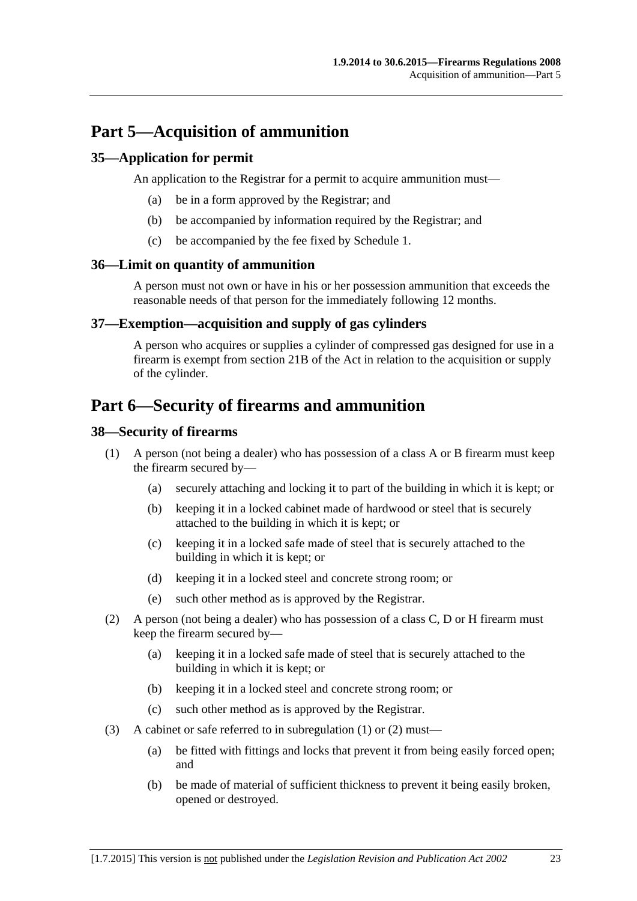## <span id="page-22-0"></span>**Part 5—Acquisition of ammunition**

#### <span id="page-22-1"></span>**35—Application for permit**

An application to the Registrar for a permit to acquire ammunition must—

- (a) be in a form approved by the Registrar; and
- (b) be accompanied by information required by the Registrar; and
- (c) be accompanied by the fee fixed by Schedule 1.

#### <span id="page-22-2"></span>**36—Limit on quantity of ammunition**

A person must not own or have in his or her possession ammunition that exceeds the reasonable needs of that person for the immediately following 12 months.

#### <span id="page-22-3"></span>**37—Exemption—acquisition and supply of gas cylinders**

A person who acquires or supplies a cylinder of compressed gas designed for use in a firearm is exempt from section 21B of the Act in relation to the acquisition or supply of the cylinder.

## <span id="page-22-4"></span>**Part 6—Security of firearms and ammunition**

#### <span id="page-22-6"></span><span id="page-22-5"></span>**38—Security of firearms**

- <span id="page-22-8"></span>(1) A person (not being a dealer) who has possession of a class A or B firearm must keep the firearm secured by—
	- (a) securely attaching and locking it to part of the building in which it is kept; or
	- (b) keeping it in a locked cabinet made of hardwood or steel that is securely attached to the building in which it is kept; or
	- (c) keeping it in a locked safe made of steel that is securely attached to the building in which it is kept; or
	- (d) keeping it in a locked steel and concrete strong room; or
	- (e) such other method as is approved by the Registrar.
- <span id="page-22-9"></span><span id="page-22-7"></span>(2) A person (not being a dealer) who has possession of a class C, D or H firearm must keep the firearm secured by—
	- (a) keeping it in a locked safe made of steel that is securely attached to the building in which it is kept; or
	- (b) keeping it in a locked steel and concrete strong room; or
	- (c) such other method as is approved by the Registrar.
- (3) A cabinet or safe referred to in [subregulation](#page-22-6) (1) or [\(2\)](#page-22-7) must—
	- (a) be fitted with fittings and locks that prevent it from being easily forced open; and
	- (b) be made of material of sufficient thickness to prevent it being easily broken, opened or destroyed.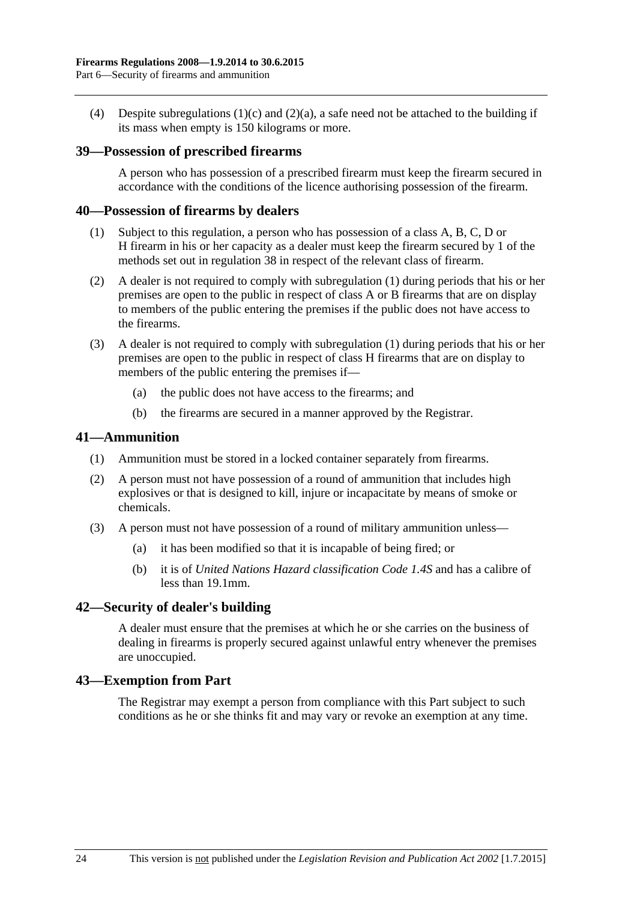(4) Despite [subregulations](#page-22-8) (1)(c) and [\(2\)\(a\),](#page-22-9) a safe need not be attached to the building if its mass when empty is 150 kilograms or more.

#### <span id="page-23-0"></span>**39—Possession of prescribed firearms**

A person who has possession of a prescribed firearm must keep the firearm secured in accordance with the conditions of the licence authorising possession of the firearm.

#### <span id="page-23-5"></span><span id="page-23-1"></span>**40—Possession of firearms by dealers**

- (1) Subject to this regulation, a person who has possession of a class A, B, C, D or H firearm in his or her capacity as a dealer must keep the firearm secured by 1 of the methods set out in [regulation](#page-22-5) 38 in respect of the relevant class of firearm.
- (2) A dealer is not required to comply with [subregulation](#page-23-5) (1) during periods that his or her premises are open to the public in respect of class A or B firearms that are on display to members of the public entering the premises if the public does not have access to the firearms.
- (3) A dealer is not required to comply with [subregulation](#page-23-5) (1) during periods that his or her premises are open to the public in respect of class H firearms that are on display to members of the public entering the premises if—
	- (a) the public does not have access to the firearms; and
	- (b) the firearms are secured in a manner approved by the Registrar.

#### <span id="page-23-2"></span>**41—Ammunition**

- (1) Ammunition must be stored in a locked container separately from firearms.
- (2) A person must not have possession of a round of ammunition that includes high explosives or that is designed to kill, injure or incapacitate by means of smoke or chemicals.
- (3) A person must not have possession of a round of military ammunition unless—
	- (a) it has been modified so that it is incapable of being fired; or
	- (b) it is of *United Nations Hazard classification Code 1.4S* and has a calibre of less than 19.1mm.

#### <span id="page-23-3"></span>**42—Security of dealer's building**

A dealer must ensure that the premises at which he or she carries on the business of dealing in firearms is properly secured against unlawful entry whenever the premises are unoccupied.

#### <span id="page-23-4"></span>**43—Exemption from Part**

The Registrar may exempt a person from compliance with this Part subject to such conditions as he or she thinks fit and may vary or revoke an exemption at any time.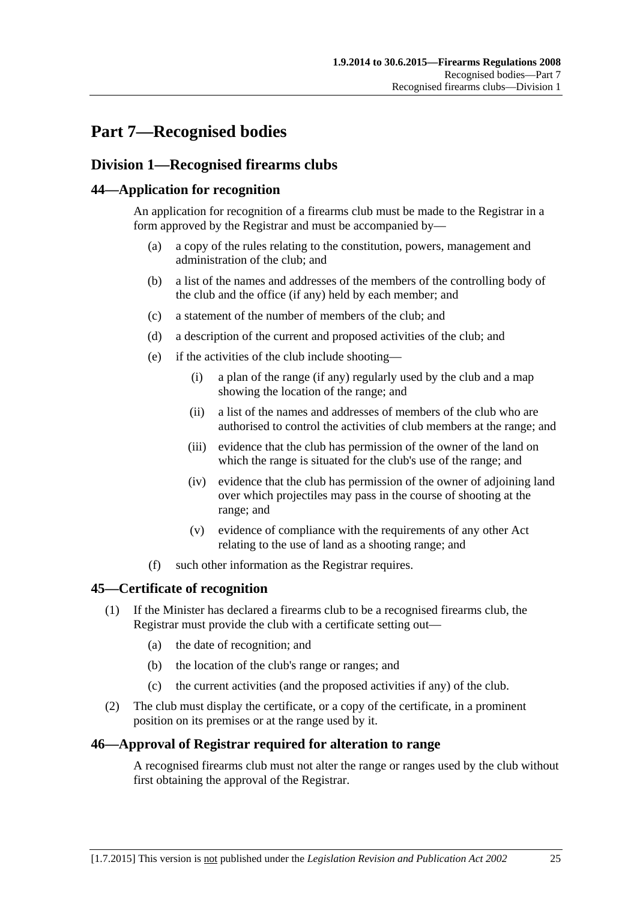# <span id="page-24-0"></span>**Part 7—Recognised bodies**

## <span id="page-24-1"></span>**Division 1—Recognised firearms clubs**

#### <span id="page-24-2"></span>**44—Application for recognition**

An application for recognition of a firearms club must be made to the Registrar in a form approved by the Registrar and must be accompanied by—

- (a) a copy of the rules relating to the constitution, powers, management and administration of the club; and
- (b) a list of the names and addresses of the members of the controlling body of the club and the office (if any) held by each member; and
- (c) a statement of the number of members of the club; and
- (d) a description of the current and proposed activities of the club; and
- (e) if the activities of the club include shooting—
	- (i) a plan of the range (if any) regularly used by the club and a map showing the location of the range; and
	- (ii) a list of the names and addresses of members of the club who are authorised to control the activities of club members at the range; and
	- (iii) evidence that the club has permission of the owner of the land on which the range is situated for the club's use of the range; and
	- (iv) evidence that the club has permission of the owner of adjoining land over which projectiles may pass in the course of shooting at the range; and
	- (v) evidence of compliance with the requirements of any other Act relating to the use of land as a shooting range; and
- (f) such other information as the Registrar requires.

#### <span id="page-24-3"></span>**45—Certificate of recognition**

- (1) If the Minister has declared a firearms club to be a recognised firearms club, the Registrar must provide the club with a certificate setting out—
	- (a) the date of recognition; and
	- (b) the location of the club's range or ranges; and
	- (c) the current activities (and the proposed activities if any) of the club.
- (2) The club must display the certificate, or a copy of the certificate, in a prominent position on its premises or at the range used by it.

#### <span id="page-24-4"></span>**46—Approval of Registrar required for alteration to range**

A recognised firearms club must not alter the range or ranges used by the club without first obtaining the approval of the Registrar.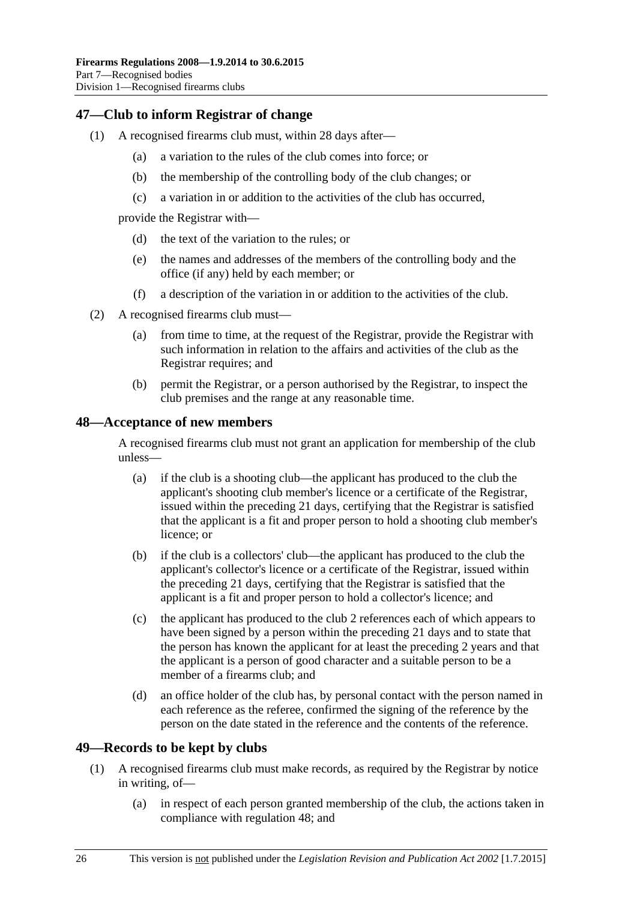#### <span id="page-25-0"></span>**47—Club to inform Registrar of change**

- (1) A recognised firearms club must, within 28 days after—
	- (a) a variation to the rules of the club comes into force; or
	- (b) the membership of the controlling body of the club changes; or
	- (c) a variation in or addition to the activities of the club has occurred,

provide the Registrar with—

- (d) the text of the variation to the rules; or
- (e) the names and addresses of the members of the controlling body and the office (if any) held by each member; or
- (f) a description of the variation in or addition to the activities of the club.
- (2) A recognised firearms club must—
	- (a) from time to time, at the request of the Registrar, provide the Registrar with such information in relation to the affairs and activities of the club as the Registrar requires; and
	- (b) permit the Registrar, or a person authorised by the Registrar, to inspect the club premises and the range at any reasonable time.

#### <span id="page-25-1"></span>**48—Acceptance of new members**

A recognised firearms club must not grant an application for membership of the club unless—

- (a) if the club is a shooting club—the applicant has produced to the club the applicant's shooting club member's licence or a certificate of the Registrar, issued within the preceding 21 days, certifying that the Registrar is satisfied that the applicant is a fit and proper person to hold a shooting club member's licence; or
- (b) if the club is a collectors' club—the applicant has produced to the club the applicant's collector's licence or a certificate of the Registrar, issued within the preceding 21 days, certifying that the Registrar is satisfied that the applicant is a fit and proper person to hold a collector's licence; and
- (c) the applicant has produced to the club 2 references each of which appears to have been signed by a person within the preceding 21 days and to state that the person has known the applicant for at least the preceding 2 years and that the applicant is a person of good character and a suitable person to be a member of a firearms club; and
- (d) an office holder of the club has, by personal contact with the person named in each reference as the referee, confirmed the signing of the reference by the person on the date stated in the reference and the contents of the reference.

#### <span id="page-25-3"></span><span id="page-25-2"></span>**49—Records to be kept by clubs**

- (1) A recognised firearms club must make records, as required by the Registrar by notice in writing, of—
	- (a) in respect of each person granted membership of the club, the actions taken in compliance with [regulation](#page-25-1) 48; and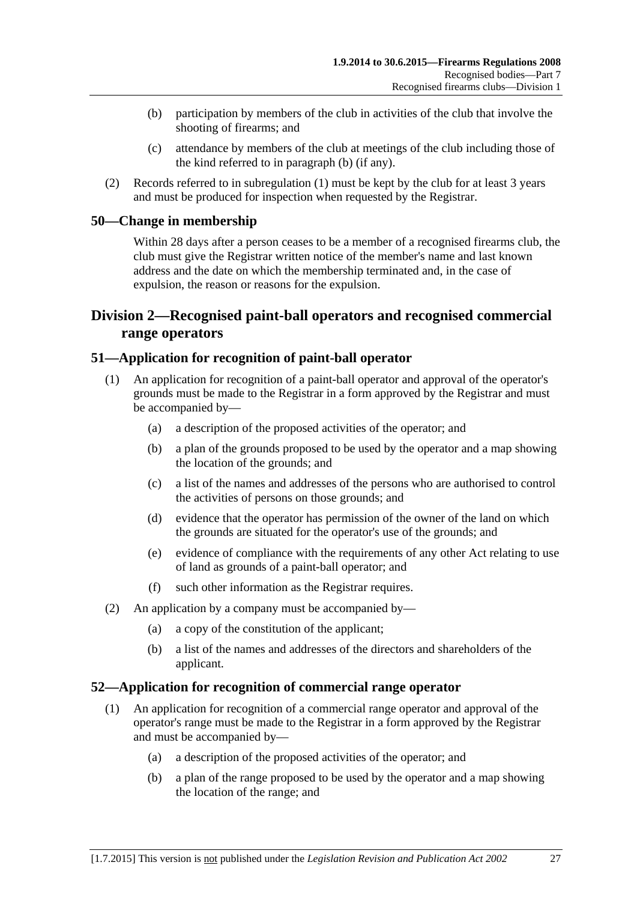- <span id="page-26-4"></span>(b) participation by members of the club in activities of the club that involve the shooting of firearms; and
- (c) attendance by members of the club at meetings of the club including those of the kind referred to in [paragraph](#page-26-4) (b) (if any).
- (2) Records referred to in [subregulation](#page-25-3) (1) must be kept by the club for at least 3 years and must be produced for inspection when requested by the Registrar.

#### <span id="page-26-0"></span>**50—Change in membership**

Within 28 days after a person ceases to be a member of a recognised firearms club, the club must give the Registrar written notice of the member's name and last known address and the date on which the membership terminated and, in the case of expulsion, the reason or reasons for the expulsion.

### <span id="page-26-1"></span>**Division 2—Recognised paint-ball operators and recognised commercial range operators**

#### <span id="page-26-2"></span>**51—Application for recognition of paint-ball operator**

- (1) An application for recognition of a paint-ball operator and approval of the operator's grounds must be made to the Registrar in a form approved by the Registrar and must be accompanied by—
	- (a) a description of the proposed activities of the operator; and
	- (b) a plan of the grounds proposed to be used by the operator and a map showing the location of the grounds; and
	- (c) a list of the names and addresses of the persons who are authorised to control the activities of persons on those grounds; and
	- (d) evidence that the operator has permission of the owner of the land on which the grounds are situated for the operator's use of the grounds; and
	- (e) evidence of compliance with the requirements of any other Act relating to use of land as grounds of a paint-ball operator; and
	- (f) such other information as the Registrar requires.
- (2) An application by a company must be accompanied by—
	- (a) a copy of the constitution of the applicant;
	- (b) a list of the names and addresses of the directors and shareholders of the applicant.

#### <span id="page-26-3"></span>**52—Application for recognition of commercial range operator**

- (1) An application for recognition of a commercial range operator and approval of the operator's range must be made to the Registrar in a form approved by the Registrar and must be accompanied by—
	- (a) a description of the proposed activities of the operator; and
	- (b) a plan of the range proposed to be used by the operator and a map showing the location of the range; and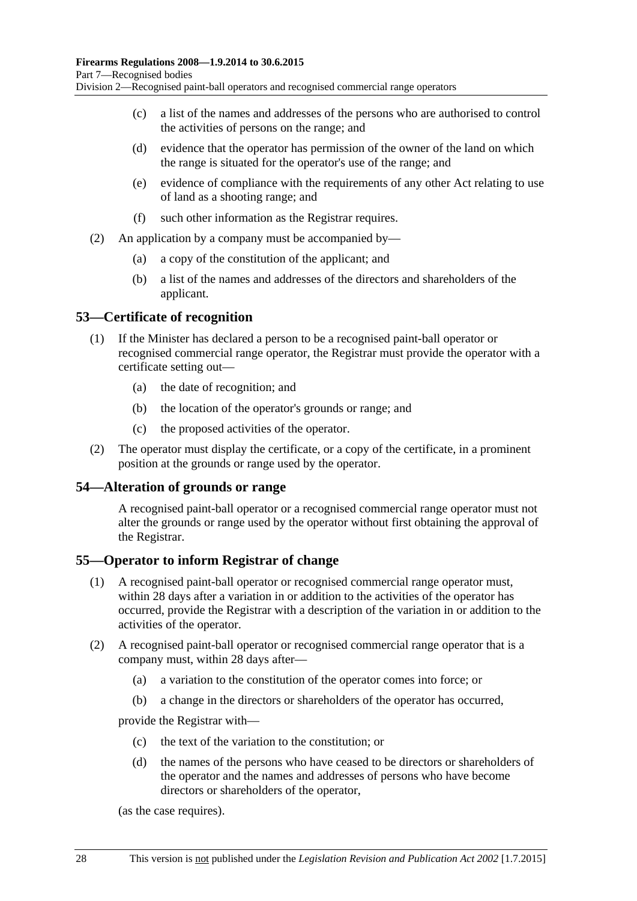- (c) a list of the names and addresses of the persons who are authorised to control the activities of persons on the range; and
- (d) evidence that the operator has permission of the owner of the land on which the range is situated for the operator's use of the range; and
- (e) evidence of compliance with the requirements of any other Act relating to use of land as a shooting range; and
- (f) such other information as the Registrar requires.
- (2) An application by a company must be accompanied by—
	- (a) a copy of the constitution of the applicant; and
	- (b) a list of the names and addresses of the directors and shareholders of the applicant.

#### <span id="page-27-0"></span>**53—Certificate of recognition**

- (1) If the Minister has declared a person to be a recognised paint-ball operator or recognised commercial range operator, the Registrar must provide the operator with a certificate setting out—
	- (a) the date of recognition; and
	- (b) the location of the operator's grounds or range; and
	- (c) the proposed activities of the operator.
- (2) The operator must display the certificate, or a copy of the certificate, in a prominent position at the grounds or range used by the operator.

#### <span id="page-27-1"></span>**54—Alteration of grounds or range**

A recognised paint-ball operator or a recognised commercial range operator must not alter the grounds or range used by the operator without first obtaining the approval of the Registrar.

#### <span id="page-27-2"></span>**55—Operator to inform Registrar of change**

- (1) A recognised paint-ball operator or recognised commercial range operator must, within 28 days after a variation in or addition to the activities of the operator has occurred, provide the Registrar with a description of the variation in or addition to the activities of the operator.
- (2) A recognised paint-ball operator or recognised commercial range operator that is a company must, within 28 days after—
	- (a) a variation to the constitution of the operator comes into force; or
	- (b) a change in the directors or shareholders of the operator has occurred,

provide the Registrar with—

- (c) the text of the variation to the constitution; or
- (d) the names of the persons who have ceased to be directors or shareholders of the operator and the names and addresses of persons who have become directors or shareholders of the operator,

(as the case requires).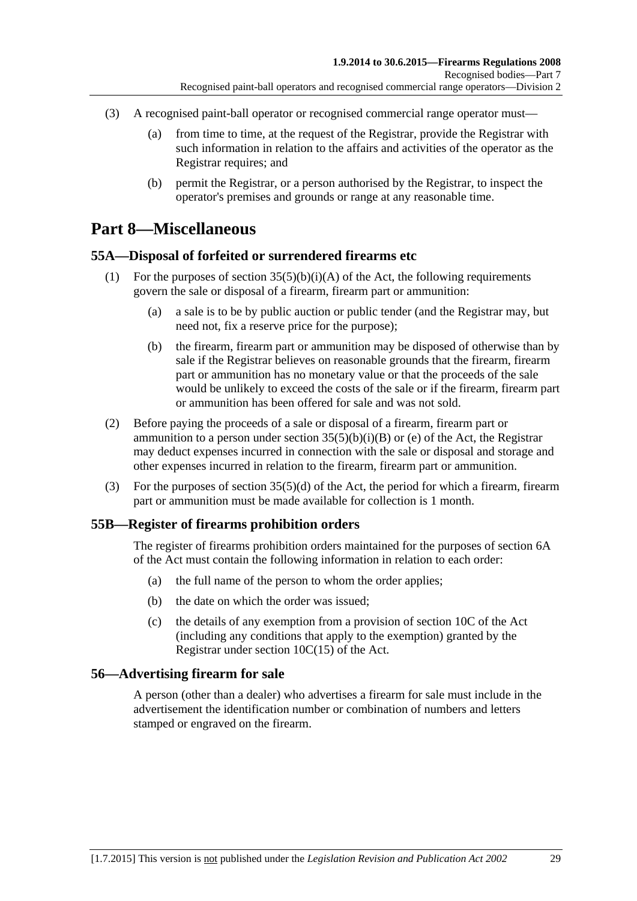- (3) A recognised paint-ball operator or recognised commercial range operator must—
	- (a) from time to time, at the request of the Registrar, provide the Registrar with such information in relation to the affairs and activities of the operator as the Registrar requires; and
	- (b) permit the Registrar, or a person authorised by the Registrar, to inspect the operator's premises and grounds or range at any reasonable time.

## <span id="page-28-0"></span>**Part 8—Miscellaneous**

#### <span id="page-28-1"></span>**55A—Disposal of forfeited or surrendered firearms etc**

- (1) For the purposes of section  $35(5)(b)(i)(A)$  of the Act, the following requirements govern the sale or disposal of a firearm, firearm part or ammunition:
	- (a) a sale is to be by public auction or public tender (and the Registrar may, but need not, fix a reserve price for the purpose);
	- (b) the firearm, firearm part or ammunition may be disposed of otherwise than by sale if the Registrar believes on reasonable grounds that the firearm, firearm part or ammunition has no monetary value or that the proceeds of the sale would be unlikely to exceed the costs of the sale or if the firearm, firearm part or ammunition has been offered for sale and was not sold.
- (2) Before paying the proceeds of a sale or disposal of a firearm, firearm part or ammunition to a person under section  $35(5)(b)(i)(B)$  or (e) of the Act, the Registrar may deduct expenses incurred in connection with the sale or disposal and storage and other expenses incurred in relation to the firearm, firearm part or ammunition.
- (3) For the purposes of section 35(5)(d) of the Act, the period for which a firearm, firearm part or ammunition must be made available for collection is 1 month.

#### <span id="page-28-2"></span>**55B—Register of firearms prohibition orders**

The register of firearms prohibition orders maintained for the purposes of section 6A of the Act must contain the following information in relation to each order:

- (a) the full name of the person to whom the order applies;
- (b) the date on which the order was issued;
- (c) the details of any exemption from a provision of section 10C of the Act (including any conditions that apply to the exemption) granted by the Registrar under section 10C(15) of the Act.

#### <span id="page-28-3"></span>**56—Advertising firearm for sale**

A person (other than a dealer) who advertises a firearm for sale must include in the advertisement the identification number or combination of numbers and letters stamped or engraved on the firearm.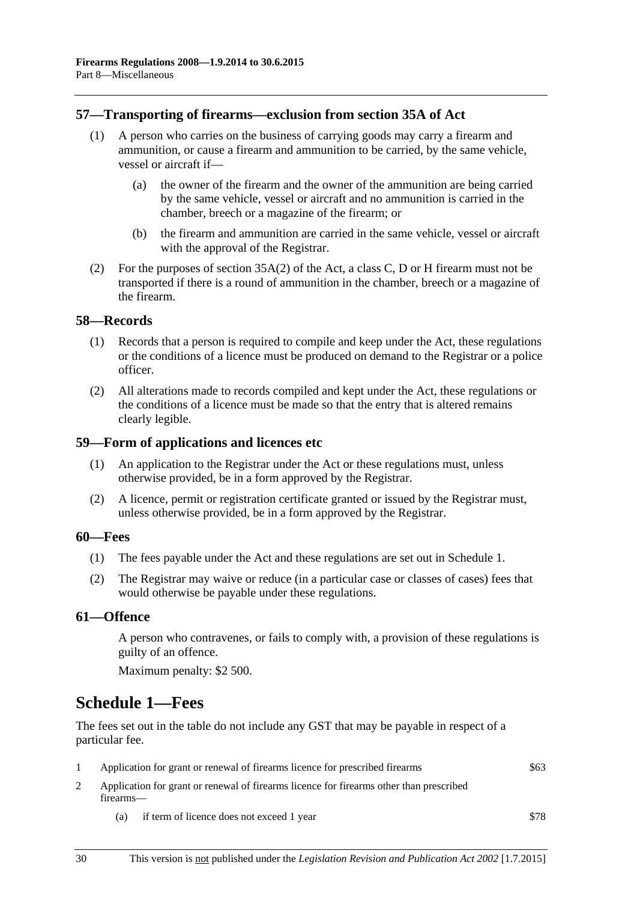#### <span id="page-29-0"></span>**57—Transporting of firearms—exclusion from section 35A of Act**

- (1) A person who carries on the business of carrying goods may carry a firearm and ammunition, or cause a firearm and ammunition to be carried, by the same vehicle, vessel or aircraft if—
	- (a) the owner of the firearm and the owner of the ammunition are being carried by the same vehicle, vessel or aircraft and no ammunition is carried in the chamber, breech or a magazine of the firearm; or
	- (b) the firearm and ammunition are carried in the same vehicle, vessel or aircraft with the approval of the Registrar.
- (2) For the purposes of section 35A(2) of the Act, a class C, D or H firearm must not be transported if there is a round of ammunition in the chamber, breech or a magazine of the firearm.

#### <span id="page-29-1"></span>**58—Records**

- (1) Records that a person is required to compile and keep under the Act, these regulations or the conditions of a licence must be produced on demand to the Registrar or a police officer.
- (2) All alterations made to records compiled and kept under the Act, these regulations or the conditions of a licence must be made so that the entry that is altered remains clearly legible.

#### <span id="page-29-2"></span>**59—Form of applications and licences etc**

- (1) An application to the Registrar under the Act or these regulations must, unless otherwise provided, be in a form approved by the Registrar.
- (2) A licence, permit or registration certificate granted or issued by the Registrar must, unless otherwise provided, be in a form approved by the Registrar.

#### <span id="page-29-3"></span>**60—Fees**

- (1) The fees payable under the Act and these regulations are set out in Schedule 1.
- (2) The Registrar may waive or reduce (in a particular case or classes of cases) fees that would otherwise be payable under these regulations.

#### <span id="page-29-4"></span>**61—Offence**

A person who contravenes, or fails to comply with, a provision of these regulations is guilty of an offence.

Maximum penalty: \$2 500.

## <span id="page-29-5"></span>**Schedule 1—Fees**

The fees set out in the table do not include any GST that may be payable in respect of a particular fee.

- 1 Application for grant or renewal of firearms licence for prescribed firearms \$63 2 Application for grant or renewal of firearms licence for firearms other than prescribed
- firearms—
	- (a) if term of licence does not exceed 1 year \$78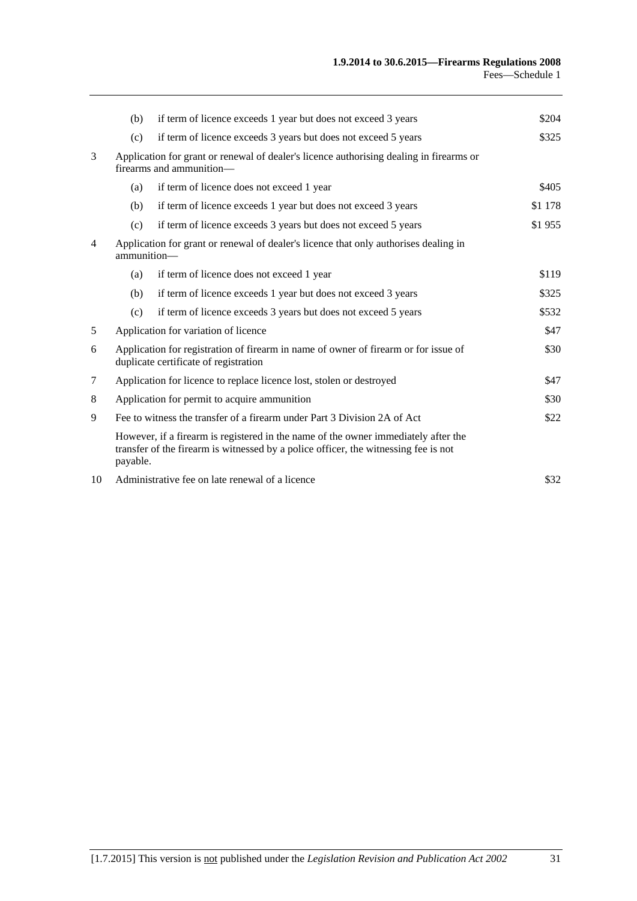|                | (b)                                                                                                                                  | if term of licence exceeds 1 year but does not exceed 3 years                                                                                                             | \$204   |
|----------------|--------------------------------------------------------------------------------------------------------------------------------------|---------------------------------------------------------------------------------------------------------------------------------------------------------------------------|---------|
|                | (c)                                                                                                                                  | if term of licence exceeds 3 years but does not exceed 5 years                                                                                                            | \$325   |
| 3              | Application for grant or renewal of dealer's licence authorising dealing in firearms or<br>firearms and ammunition-                  |                                                                                                                                                                           |         |
|                | (a)                                                                                                                                  | if term of licence does not exceed 1 year                                                                                                                                 | \$405   |
|                | (b)                                                                                                                                  | if term of licence exceeds 1 year but does not exceed 3 years                                                                                                             | \$1 178 |
|                | (c)                                                                                                                                  | if term of licence exceeds 3 years but does not exceed 5 years                                                                                                            | \$1955  |
| $\overline{4}$ | Application for grant or renewal of dealer's licence that only authorises dealing in<br>ammunition-                                  |                                                                                                                                                                           |         |
|                | (a)                                                                                                                                  | if term of licence does not exceed 1 year                                                                                                                                 | \$119   |
|                | (b)                                                                                                                                  | if term of licence exceeds 1 year but does not exceed 3 years                                                                                                             | \$325   |
|                | (c)                                                                                                                                  | if term of licence exceeds 3 years but does not exceed 5 years                                                                                                            | \$532   |
| 5              | Application for variation of licence<br>\$47                                                                                         |                                                                                                                                                                           |         |
| 6              | \$30<br>Application for registration of firearm in name of owner of firearm or for issue of<br>duplicate certificate of registration |                                                                                                                                                                           |         |
| 7              | Application for licence to replace licence lost, stolen or destroyed                                                                 |                                                                                                                                                                           | \$47    |
| 8              | Application for permit to acquire ammunition                                                                                         |                                                                                                                                                                           | \$30    |
| 9              | Fee to witness the transfer of a firearm under Part 3 Division 2A of Act                                                             |                                                                                                                                                                           | \$22    |
|                | payable.                                                                                                                             | However, if a firearm is registered in the name of the owner immediately after the<br>transfer of the firearm is witnessed by a police officer, the witnessing fee is not |         |
| 10             |                                                                                                                                      | Administrative fee on late renewal of a licence                                                                                                                           | \$32    |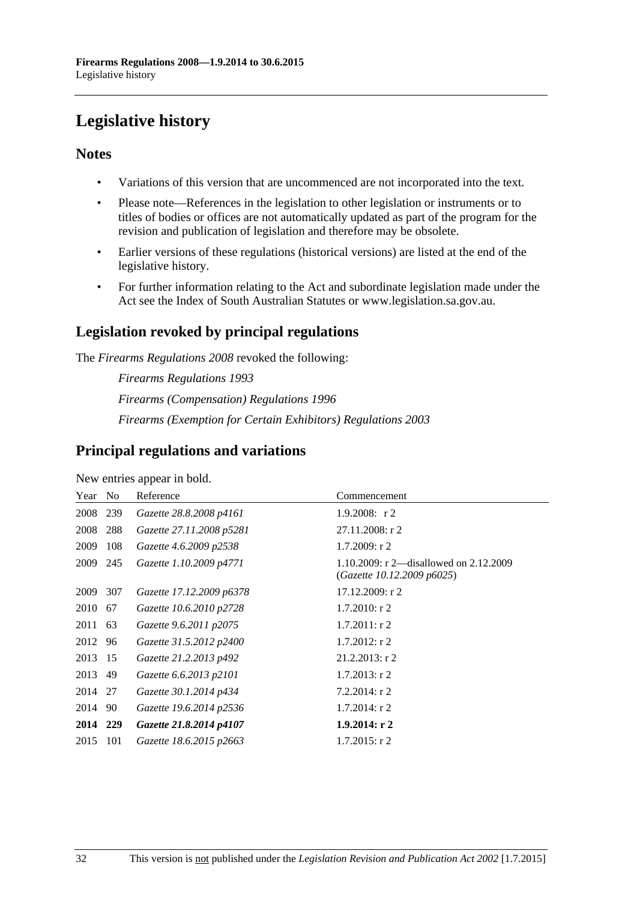# <span id="page-31-0"></span>**Legislative history**

#### **Notes**

- Variations of this version that are uncommenced are not incorporated into the text.
- Please note—References in the legislation to other legislation or instruments or to titles of bodies or offices are not automatically updated as part of the program for the revision and publication of legislation and therefore may be obsolete.
- Earlier versions of these regulations (historical versions) are listed at the end of the legislative history.
- For further information relating to the Act and subordinate legislation made under the Act see the Index of South Australian Statutes or www.legislation.sa.gov.au.

## **Legislation revoked by principal regulations**

The *Firearms Regulations 2008* revoked the following:

*Firearms Regulations 1993 Firearms (Compensation) Regulations 1996 Firearms (Exemption for Certain Exhibitors) Regulations 2003*

### **Principal regulations and variations**

New entries appear in bold.

| Year No  |     | Reference                | Commencement                                                         |
|----------|-----|--------------------------|----------------------------------------------------------------------|
| 2008 239 |     | Gazette 28.8.2008 p4161  | 1.9.2008: $r2$                                                       |
| 2008     | 288 | Gazette 27.11.2008 p5281 | $27.11.2008$ : r 2                                                   |
| 2009     | 108 | Gazette 4.6.2009 p2538   | $1.7.2009$ : r 2                                                     |
| 2009 245 |     | Gazette 1.10.2009 p4771  | 1.10.2009: r 2—disallowed on 2.12.2009<br>(Gazette 10.12.2009 p6025) |
| 2009 307 |     | Gazette 17.12.2009 p6378 | 17.12.2009: r 2                                                      |
| 2010     | 67  | Gazette 10.6.2010 p2728  | $1.7.2010$ : r 2                                                     |
| 2011 63  |     | Gazette 9.6.2011 p2075   | $1.7.2011$ : r 2                                                     |
| 2012 96  |     | Gazette 31.5.2012 p2400  | $1.7.2012$ : r 2                                                     |
| 2013 15  |     | Gazette 21.2.2013 p492   | $21.2.2013$ : r 2                                                    |
| 2013 49  |     | Gazette 6.6.2013 p2101   | $1.7.2013$ : r 2                                                     |
| 2014 27  |     | Gazette 30.1.2014 p434   | $7.2.2014$ : r 2                                                     |
| 2014 90  |     | Gazette 19.6.2014 p2536  | $1.7.2014$ : r 2                                                     |
| 2014 229 |     | Gazette 21.8.2014 p4107  | $1.9.2014$ : r 2                                                     |
| 2015     | 101 | Gazette 18.6.2015 p2663  | $1.7.2015$ : r 2                                                     |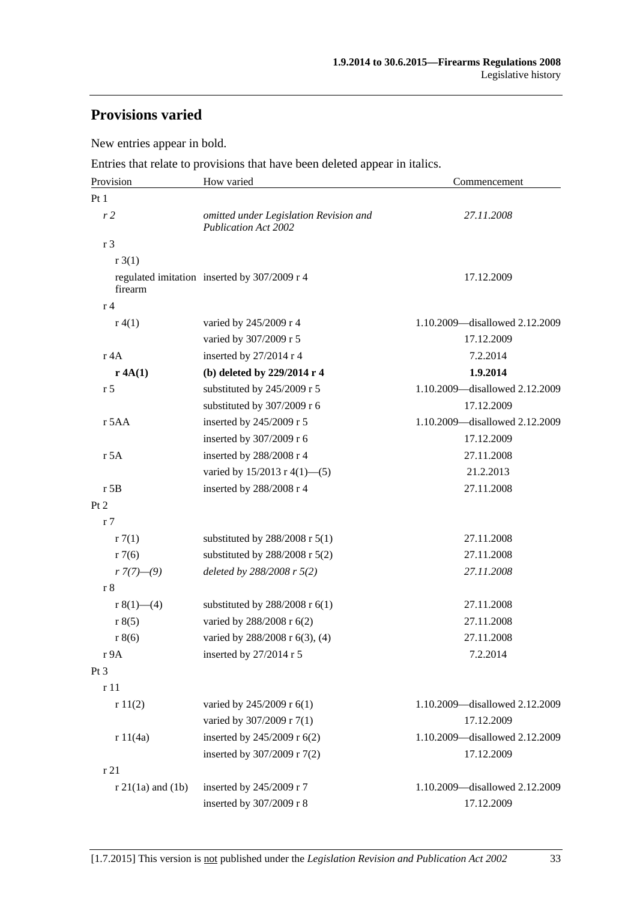## **Provisions varied**

New entries appear in bold.

Entries that relate to provisions that have been deleted appear in italics.

| Provision              | How varied                                                            | Commencement                   |  |
|------------------------|-----------------------------------------------------------------------|--------------------------------|--|
| Pt <sub>1</sub>        |                                                                       |                                |  |
| r <sub>2</sub>         | omitted under Legislation Revision and<br><b>Publication Act 2002</b> | 27.11.2008                     |  |
| r 3                    |                                                                       |                                |  |
| r3(1)                  |                                                                       |                                |  |
| firearm                | regulated imitation inserted by 307/2009 r 4                          | 17.12.2009                     |  |
| r <sub>4</sub>         |                                                                       |                                |  |
| r(4(1)                 | varied by 245/2009 r 4                                                | 1.10.2009-disallowed 2.12.2009 |  |
|                        | varied by 307/2009 r 5                                                | 17.12.2009                     |  |
| r 4A                   | inserted by 27/2014 r 4                                               | 7.2.2014                       |  |
| r 4A(1)                | (b) deleted by 229/2014 r 4                                           | 1.9.2014                       |  |
| r <sub>5</sub>         | substituted by 245/2009 r 5                                           | 1.10.2009-disallowed 2.12.2009 |  |
|                        | substituted by 307/2009 r 6                                           | 17.12.2009                     |  |
| r 5AA                  | inserted by 245/2009 r 5                                              | 1.10.2009—disallowed 2.12.2009 |  |
|                        | inserted by 307/2009 r 6                                              | 17.12.2009                     |  |
| r 5A                   | inserted by 288/2008 r 4                                              | 27.11.2008                     |  |
|                        | varied by $15/2013$ r 4(1)–(5)                                        | 21.2.2013                      |  |
| $r$ 5B                 | inserted by 288/2008 r 4                                              | 27.11.2008                     |  |
| Pt 2                   |                                                                       |                                |  |
| r <sub>7</sub>         |                                                                       |                                |  |
| r7(1)                  | substituted by $288/2008$ r $5(1)$                                    | 27.11.2008                     |  |
| r7(6)                  | substituted by $288/2008$ r $5(2)$                                    | 27.11.2008                     |  |
| $r \frac{7(7)-(9)}{2}$ | deleted by 288/2008 r 5(2)                                            | 27.11.2008                     |  |
| r8                     |                                                                       |                                |  |
| r $8(1)$ (4)           | substituted by $288/2008$ r $6(1)$                                    | 27.11.2008                     |  |
| r 8(5)                 | varied by 288/2008 r 6(2)                                             | 27.11.2008                     |  |
| r 8(6)                 | varied by 288/2008 r 6(3), (4)                                        | 27.11.2008                     |  |
| r9A                    | inserted by 27/2014 r 5                                               | 7.2.2014                       |  |
| Pt 3                   |                                                                       |                                |  |
| r 11                   |                                                                       |                                |  |
| r11(2)                 | varied by 245/2009 r 6(1)                                             | 1.10.2009-disallowed 2.12.2009 |  |
|                        | varied by 307/2009 r 7(1)                                             | 17.12.2009                     |  |
| r 11(4a)               | inserted by 245/2009 r 6(2)                                           | 1.10.2009-disallowed 2.12.2009 |  |
|                        | inserted by 307/2009 r 7(2)                                           | 17.12.2009                     |  |
| r21                    |                                                                       |                                |  |
| $r$ 21(1a) and (1b)    | inserted by 245/2009 r 7                                              | 1.10.2009-disallowed 2.12.2009 |  |
|                        | inserted by 307/2009 r 8                                              | 17.12.2009                     |  |